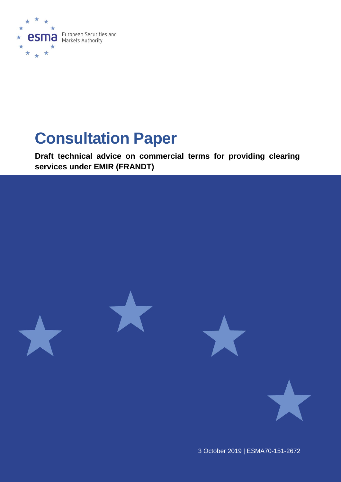

# **Consultation Paper**

**Draft technical advice on commercial terms for providing clearing services under EMIR (FRANDT)**



3 October 2019 | ESMA70-151-2672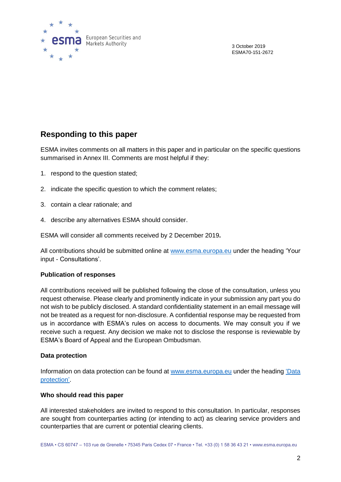

3 October 2019 ESMA70-151-2672

### **Responding to this paper**

ESMA invites comments on all matters in this paper and in particular on the specific questions summarised in Annex III. Comments are most helpful if they:

- 1. respond to the question stated;
- 2. indicate the specific question to which the comment relates;
- 3. contain a clear rationale; and
- 4. describe any alternatives ESMA should consider.

ESMA will consider all comments received by 2 December 2019**.**

All contributions should be submitted online at [www.esma.europa.eu](http://www.esma.europa.eu/) under the heading 'Your input - Consultations'.

#### **Publication of responses**

All contributions received will be published following the close of the consultation, unless you request otherwise. Please clearly and prominently indicate in your submission any part you do not wish to be publicly disclosed. A standard confidentiality statement in an email message will not be treated as a request for non-disclosure. A confidential response may be requested from us in accordance with ESMA's rules on access to documents. We may consult you if we receive such a request. Any decision we make not to disclose the response is reviewable by ESMA's Board of Appeal and the European Ombudsman.

#### **Data protection**

Information on data protection can be found at [www.esma.europa.eu](http://www.esma.europa.eu/) under the heading 'Data [protection'](https://www.esma.europa.eu/about-esma/data-protection).

#### **Who should read this paper**

All interested stakeholders are invited to respond to this consultation. In particular, responses are sought from counterparties acting (or intending to act) as clearing service providers and counterparties that are current or potential clearing clients.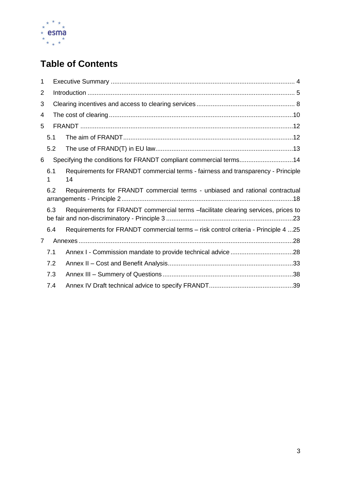

# **Table of Contents**

| 1              |          |                                                                                        |  |  |  |  |  |
|----------------|----------|----------------------------------------------------------------------------------------|--|--|--|--|--|
| $\overline{2}$ |          |                                                                                        |  |  |  |  |  |
| 3              |          |                                                                                        |  |  |  |  |  |
| 4              |          |                                                                                        |  |  |  |  |  |
| 5              |          |                                                                                        |  |  |  |  |  |
|                | 5.1      |                                                                                        |  |  |  |  |  |
|                | 5.2      |                                                                                        |  |  |  |  |  |
| 6              |          | Specifying the conditions for FRANDT compliant commercial terms14                      |  |  |  |  |  |
|                | 6.1<br>1 | Requirements for FRANDT commercial terms - fairness and transparency - Principle<br>14 |  |  |  |  |  |
|                | 6.2      | Requirements for FRANDT commercial terms - unbiased and rational contractual           |  |  |  |  |  |
|                | 6.3      | Requirements for FRANDT commercial terms -facilitate clearing services, prices to      |  |  |  |  |  |
|                | 6.4      | Requirements for FRANDT commercial terms - risk control criteria - Principle 4 25      |  |  |  |  |  |
| 7              |          |                                                                                        |  |  |  |  |  |
|                | 7.1      |                                                                                        |  |  |  |  |  |
|                | 7.2      |                                                                                        |  |  |  |  |  |
|                | 7.3      |                                                                                        |  |  |  |  |  |
|                | 7.4      |                                                                                        |  |  |  |  |  |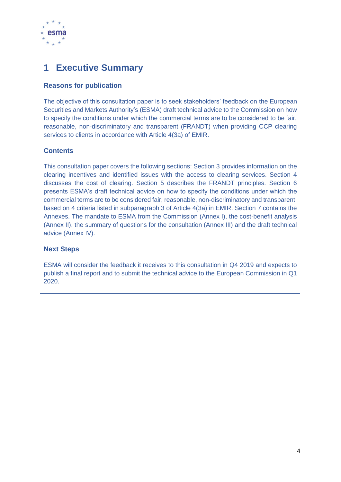

## <span id="page-3-0"></span>**1 Executive Summary**

### **Reasons for publication**

The objective of this consultation paper is to seek stakeholders' feedback on the European Securities and Markets Authority's (ESMA) draft technical advice to the Commission on how to specify the conditions under which the commercial terms are to be considered to be fair, reasonable, non-discriminatory and transparent (FRANDT) when providing CCP clearing services to clients in accordance with Article 4(3a) of EMIR.

### **Contents**

This consultation paper covers the following sections: Section 3 provides information on the clearing incentives and identified issues with the access to clearing services. Section 4 discusses the cost of clearing. Section 5 describes the FRANDT principles. Section 6 presents ESMA's draft technical advice on how to specify the conditions under which the commercial terms are to be considered fair, reasonable, non-discriminatory and transparent, based on 4 criteria listed in subparagraph 3 of Article 4(3a) in EMIR. Section 7 contains the Annexes. The mandate to ESMA from the Commission (Annex I), the cost-benefit analysis (Annex II), the summary of questions for the consultation (Annex III) and the draft technical advice (Annex IV).

### **Next Steps**

ESMA will consider the feedback it receives to this consultation in Q4 2019 and expects to publish a final report and to submit the technical advice to the European Commission in Q1 2020.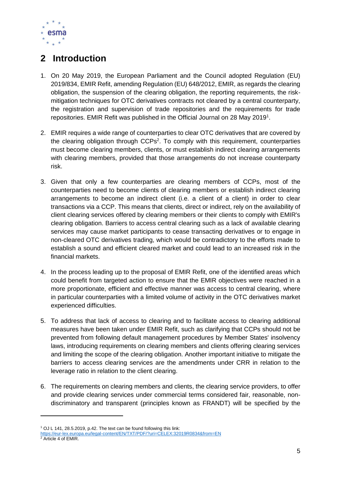

# <span id="page-4-0"></span>**2 Introduction**

- 1. On 20 May 2019, the European Parliament and the Council adopted Regulation (EU) 2019/834, EMIR Refit, amending Regulation (EU) 648/2012, EMIR, as regards the clearing obligation, the suspension of the clearing obligation, the reporting requirements, the riskmitigation techniques for OTC derivatives contracts not cleared by a central counterparty, the registration and supervision of trade repositories and the requirements for trade repositories. EMIR Refit was published in the Official Journal on 28 May 2019<sup>1</sup>.
- 2. EMIR requires a wide range of counterparties to clear OTC derivatives that are covered by the clearing obligation through CCPs<sup>2</sup>. To comply with this requirement, counterparties must become clearing members, clients, or must establish indirect clearing arrangements with clearing members, provided that those arrangements do not increase counterparty risk.
- 3. Given that only a few counterparties are clearing members of CCPs, most of the counterparties need to become clients of clearing members or establish indirect clearing arrangements to become an indirect client (i.e. a client of a client) in order to clear transactions via a CCP. This means that clients, direct or indirect, rely on the availability of client clearing services offered by clearing members or their clients to comply with EMIR's clearing obligation. Barriers to access central clearing such as a lack of available clearing services may cause market participants to cease transacting derivatives or to engage in non-cleared OTC derivatives trading, which would be contradictory to the efforts made to establish a sound and efficient cleared market and could lead to an increased risk in the financial markets.
- 4. In the process leading up to the proposal of EMIR Refit, one of the identified areas which could benefit from targeted action to ensure that the EMIR objectives were reached in a more proportionate, efficient and effective manner was access to central clearing, where in particular counterparties with a limited volume of activity in the OTC derivatives market experienced difficulties.
- 5. To address that lack of access to clearing and to facilitate access to clearing additional measures have been taken under EMIR Refit, such as clarifying that CCPs should not be prevented from following default management procedures by Member States' insolvency laws, introducing requirements on clearing members and clients offering clearing services and limiting the scope of the clearing obligation. Another important initiative to mitigate the barriers to access clearing services are the amendments under CRR in relation to the leverage ratio in relation to the client clearing.
- 6. The requirements on clearing members and clients, the clearing service providers, to offer and provide clearing services under commercial terms considered fair, reasonable, nondiscriminatory and transparent (principles known as FRANDT) will be specified by the

-

<sup>1</sup> OJ L 141, 28.5.2019, p.42. The text can be found following this link:

<https://eur-lex.europa.eu/legal-content/EN/TXT/PDF/?uri=CELEX:32019R0834&from=EN> <sup>2</sup> Article 4 of EMIR.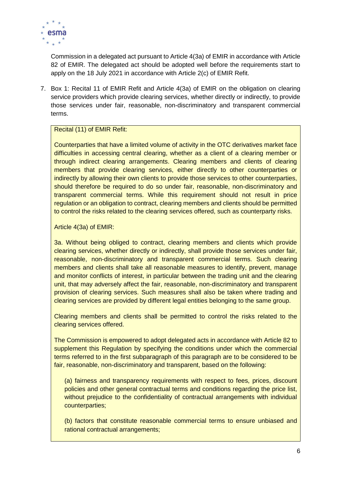

Commission in a delegated act pursuant to Article 4(3a) of EMIR in accordance with Article 82 of EMIR. The delegated act should be adopted well before the requirements start to apply on the 18 July 2021 in accordance with Article 2(c) of EMIR Refit.

7. Box 1: Recital 11 of EMIR Refit and Article 4(3a) of EMIR on the obligation on clearing service providers which provide clearing services, whether directly or indirectly, to provide those services under fair, reasonable, non-discriminatory and transparent commercial terms.

### Recital (11) of EMIR Refit:

Counterparties that have a limited volume of activity in the OTC derivatives market face difficulties in accessing central clearing, whether as a client of a clearing member or through indirect clearing arrangements. Clearing members and clients of clearing members that provide clearing services, either directly to other counterparties or indirectly by allowing their own clients to provide those services to other counterparties, should therefore be required to do so under fair, reasonable, non-discriminatory and transparent commercial terms. While this requirement should not result in price regulation or an obligation to contract, clearing members and clients should be permitted to control the risks related to the clearing services offered, such as counterparty risks.

#### Article 4(3a) of EMIR:

3a. Without being obliged to contract, clearing members and clients which provide clearing services, whether directly or indirectly, shall provide those services under fair, reasonable, non-discriminatory and transparent commercial terms. Such clearing members and clients shall take all reasonable measures to identify, prevent, manage and monitor conflicts of interest, in particular between the trading unit and the clearing unit, that may adversely affect the fair, reasonable, non-discriminatory and transparent provision of clearing services. Such measures shall also be taken where trading and clearing services are provided by different legal entities belonging to the same group.

Clearing members and clients shall be permitted to control the risks related to the clearing services offered.

The Commission is empowered to adopt delegated acts in accordance with Article 82 to supplement this Regulation by specifying the conditions under which the commercial terms referred to in the first subparagraph of this paragraph are to be considered to be fair, reasonable, non-discriminatory and transparent, based on the following:

(a) fairness and transparency requirements with respect to fees, prices, discount policies and other general contractual terms and conditions regarding the price list, without prejudice to the confidentiality of contractual arrangements with individual counterparties;

(b) factors that constitute reasonable commercial terms to ensure unbiased and rational contractual arrangements;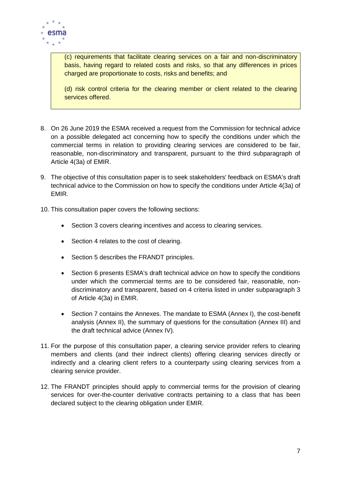

(c) requirements that facilitate clearing services on a fair and non-discriminatory basis, having regard to related costs and risks, so that any differences in prices charged are proportionate to costs, risks and benefits; and

(d) risk control criteria for the clearing member or client related to the clearing services offered.

- 8. On 26 June 2019 the ESMA received a request from the Commission for technical advice on a possible delegated act concerning how to specify the conditions under which the commercial terms in relation to providing clearing services are considered to be fair, reasonable, non-discriminatory and transparent, pursuant to the third subparagraph of Article 4(3a) of EMIR.
- 9. The objective of this consultation paper is to seek stakeholders' feedback on ESMA's draft technical advice to the Commission on how to specify the conditions under Article 4(3a) of EMIR.
- 10. This consultation paper covers the following sections:
	- Section 3 covers clearing incentives and access to clearing services.
	- Section 4 relates to the cost of clearing.
	- Section 5 describes the FRANDT principles.
	- Section 6 presents ESMA's draft technical advice on how to specify the conditions under which the commercial terms are to be considered fair, reasonable, nondiscriminatory and transparent, based on 4 criteria listed in under subparagraph 3 of Article 4(3a) in EMIR.
	- Section 7 contains the Annexes. The mandate to ESMA (Annex I), the cost-benefit analysis (Annex II), the summary of questions for the consultation (Annex III) and the draft technical advice (Annex IV).
- 11. For the purpose of this consultation paper, a clearing service provider refers to clearing members and clients (and their indirect clients) offering clearing services directly or indirectly and a clearing client refers to a counterparty using clearing services from a clearing service provider.
- 12. The FRANDT principles should apply to commercial terms for the provision of clearing services for over-the-counter derivative contracts pertaining to a class that has been declared subject to the clearing obligation under EMIR.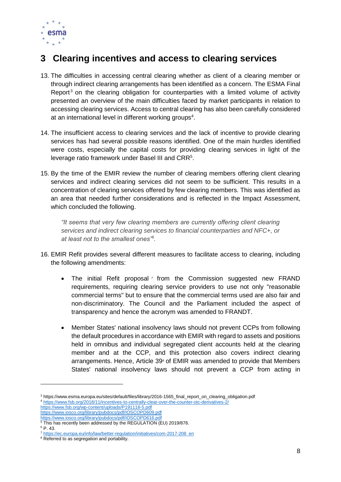

# <span id="page-7-0"></span>**3 Clearing incentives and access to clearing services**

- 13. The difficulties in accessing central clearing whether as client of a clearing member or through indirect clearing arrangements has been identified as a concern. The ESMA Final Report<sup>3</sup> on the clearing obligation for counterparties with a limited volume of activity presented an overview of the main difficulties faced by market participants in relation to accessing clearing services. Access to central clearing has also been carefully considered at an international level in different working groups<sup>4</sup>.
- 14. The insufficient access to clearing services and the lack of incentive to provide clearing services has had several possible reasons identified. One of the main hurdles identified were costs, especially the capital costs for providing clearing services in light of the leverage ratio framework under Basel III and CRR<sup>5</sup>.
- 15. By the time of the EMIR review the number of clearing members offering client clearing services and indirect clearing services did not seem to be sufficient. This results in a concentration of clearing services offered by few clearing members. This was identified as an area that needed further considerations and is reflected in the Impact Assessment, which concluded the following.

*"It seems that very few clearing members are currently offering client clearing services and indirect clearing services to financial counterparties and NFC+, or at least not to the smallest ones"<sup>6</sup> .*

- 16. EMIR Refit provides several different measures to facilitate access to clearing, including the following amendments:
	- The initial Refit proposal<sup>7</sup> from the Commission suggested new FRAND requirements, requiring clearing service providers to use not only "reasonable commercial terms" but to ensure that the commercial terms used are also fair and non-discriminatory. The Council and the Parliament included the aspect of transparency and hence the acronym was amended to FRANDT.
	- Member States' national insolvency laws should not prevent CCPs from following the default procedures in accordance with EMIR with regard to assets and positions held in omnibus and individual segregated client accounts held at the clearing member and at the CCP, and this protection also covers indirect clearing arrangements. Hence, Article 39*<sup>8</sup>* of EMIR was amended to provide that Members States' national insolvency laws should not prevent a CCP from acting in

1

<sup>3</sup> https://www.esma.europa.eu/sites/default/files/library/2016-1565\_final\_report\_on\_clearing\_obligation.pdf <sup>4</sup> <https://www.fsb.org/2018/11/incentives-to-centrally-clear-over-the-counter-otc-derivatives-2/>

<https://www.fsb.org/wp-content/uploads/P191118-5.pdf>

<https://www.iosco.org/library/pubdocs/pdf/IOSCOPD609.pdf> <https://www.iosco.org/library/pubdocs/pdf/IOSCOPD616.pdf>

<sup>&</sup>lt;sup>5</sup> This has recently been addressed by the REGULATION (EU) 2019/876.

<sup>6</sup> P. 43.

<sup>7</sup> [https://ec.europa.eu/info/law/better-regulation/initiatives/com-2017-208\\_en](https://ec.europa.eu/info/law/better-regulation/initiatives/com-2017-208_en)

<sup>&</sup>lt;sup>8</sup> Referred to as segregation and portability.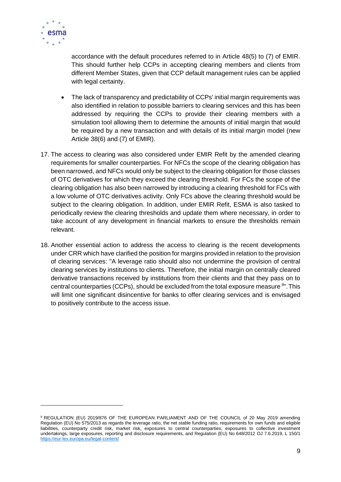

 $\overline{a}$ 

accordance with the default procedures referred to in Article 48(5) to (7) of EMIR. This should further help CCPs in accepting clearing members and clients from different Member States, given that CCP default management rules can be applied with legal certainty.

- The lack of transparency and predictability of CCPs' initial margin requirements was also identified in relation to possible barriers to clearing services and this has been addressed by requiring the CCPs to provide their clearing members with a simulation tool allowing them to determine the amounts of initial margin that would be required by a new transaction and with details of its initial margin model (new Article 38(6) and (7) of EMIR).
- 17. The access to clearing was also considered under EMIR Refit by the amended clearing requirements for smaller counterparties. For NFCs the scope of the clearing obligation has been narrowed, and NFCs would only be subject to the clearing obligation for those classes of OTC derivatives for which they exceed the clearing threshold. For FCs the scope of the clearing obligation has also been narrowed by introducing a clearing threshold for FCs with a low volume of OTC derivatives activity. Only FCs above the clearing threshold would be subject to the clearing obligation. In addition, under EMIR Refit, ESMA is also tasked to periodically review the clearing thresholds and update them where necessary, in order to take account of any development in financial markets to ensure the thresholds remain relevant.
- 18. Another essential action to address the access to clearing is the recent developments under CRR which have clarified the position for margins provided in relation to the provision of clearing services: "A leverage ratio should also not undermine the provision of central clearing services by institutions to clients. Therefore, the initial margin on centrally cleared derivative transactions received by institutions from their clients and that they pass on to central counterparties (CCPs), should be excluded from the total exposure measure *<sup>9</sup>* ".This will limit one significant disincentive for banks to offer clearing services and is envisaged to positively contribute to the access issue.

<sup>9</sup> REGULATION (EU) 2019/876 OF THE EUROPEAN PARLIAMENT AND OF THE COUNCIL of 20 May 2019 amending Regulation (EU) No 575/2013 as regards the leverage ratio, the net stable funding ratio, requirements for own funds and eligible liabilities, counterparty credit risk, market risk, exposures to central counterparties, exposures to collective investment undertakings, large exposures, reporting and disclosure requirements, and Regulation (EU) No 648/2012 OJ 7.6.2019, L 150/1 <https://eur-lex.europa.eu/legal-content/>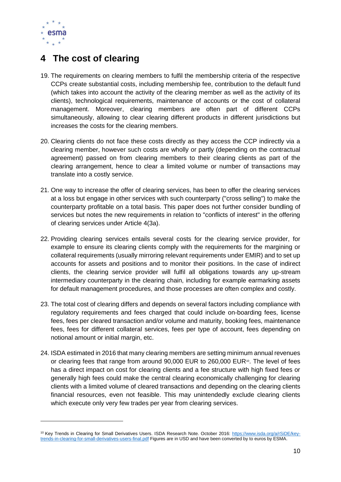

1

# <span id="page-9-0"></span>**4 The cost of clearing**

- 19. The requirements on clearing members to fulfil the membership criteria of the respective CCPs create substantial costs, including membership fee, contribution to the default fund (which takes into account the activity of the clearing member as well as the activity of its clients), technological requirements, maintenance of accounts or the cost of collateral management. Moreover, clearing members are often part of different CCPs simultaneously, allowing to clear clearing different products in different jurisdictions but increases the costs for the clearing members.
- 20. Clearing clients do not face these costs directly as they access the CCP indirectly via a clearing member, however such costs are wholly or partly (depending on the contractual agreement) passed on from clearing members to their clearing clients as part of the clearing arrangement, hence to clear a limited volume or number of transactions may translate into a costly service.
- 21. One way to increase the offer of clearing services, has been to offer the clearing services at a loss but engage in other services with such counterparty ("cross selling") to make the counterparty profitable on a total basis. This paper does not further consider bundling of services but notes the new requirements in relation to "conflicts of interest" in the offering of clearing services under Article 4(3a).
- 22. Providing clearing services entails several costs for the clearing service provider, for example to ensure its clearing clients comply with the requirements for the margining or collateral requirements (usually mirroring relevant requirements under EMIR) and to set up accounts for assets and positions and to monitor their positions. In the case of indirect clients, the clearing service provider will fulfil all obligations towards any up-stream intermediary counterparty in the clearing chain, including for example earmarking assets for default management procedures, and those processes are often complex and costly.
- 23. The total cost of clearing differs and depends on several factors including compliance with regulatory requirements and fees charged that could include on-boarding fees, license fees, fees per cleared transaction and/or volume and maturity, booking fees, maintenance fees, fees for different collateral services, fees per type of account, fees depending on notional amount or initial margin, etc.
- 24. ISDA estimated in 2016 that many clearing members are setting minimum annual revenues or clearing fees that range from around  $90,000$  EUR to 260,000 EUR<sup>10</sup>. The level of fees has a direct impact on cost for clearing clients and a fee structure with high fixed fees or generally high fees could make the central clearing economically challenging for clearing clients with a limited volume of cleared transactions and depending on the clearing clients financial resources, even not feasible. This may unintendedly exclude clearing clients which execute only very few trades per year from clearing services.

<sup>&</sup>lt;sup>10</sup> Key Trends in Clearing for Small Derivatives Users. ISDA Research Note. October 2016: [https://www.isda.org/a/rSiDE/key](https://www.isda.org/a/rSiDE/key-trends-in-clearing-for-small-derivatives-users-final.pdf)[trends-in-clearing-for-small-derivatives-users-final.pdf](https://www.isda.org/a/rSiDE/key-trends-in-clearing-for-small-derivatives-users-final.pdf) Figures are in USD and have been converted by to euros by ESMA.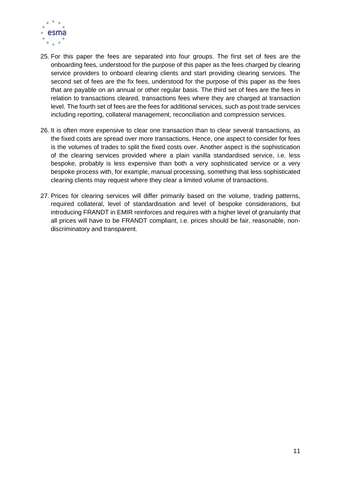

- 25. For this paper the fees are separated into four groups. The first set of fees are the onboarding fees, understood for the purpose of this paper as the fees charged by clearing service providers to onboard clearing clients and start providing clearing services. The second set of fees are the fix fees, understood for the purpose of this paper as the fees that are payable on an annual or other regular basis. The third set of fees are the fees in relation to transactions cleared, transactions fees where they are charged at transaction level. The fourth set of fees are the fees for additional services, such as post trade services including reporting, collateral management, reconciliation and compression services.
- 26. It is often more expensive to clear one transaction than to clear several transactions, as the fixed costs are spread over more transactions. Hence, one aspect to consider for fees is the volumes of trades to split the fixed costs over. Another aspect is the sophistication of the clearing services provided where a plain vanilla standardised service, i.e. less bespoke, probably is less expensive than both a very sophisticated service or a very bespoke process with, for example, manual processing, something that less sophisticated clearing clients may request where they clear a limited volume of transactions.
- 27. Prices for clearing services will differ primarily based on the volume, trading patterns, required collateral, level of standardisation and level of bespoke considerations, but introducing FRANDT in EMIR reinforces and requires with a higher level of granularity that all prices will have to be FRANDT compliant, i.e. prices should be fair, reasonable, nondiscriminatory and transparent.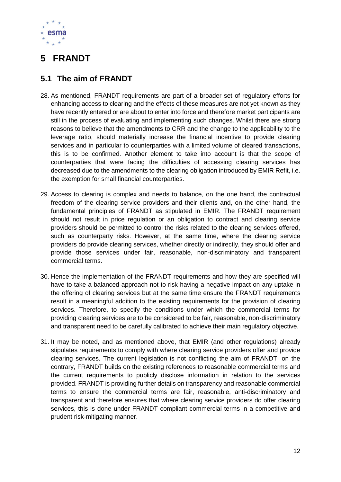

# <span id="page-11-0"></span>**5 FRANDT**

### <span id="page-11-1"></span>**5.1 The aim of FRANDT**

- 28. As mentioned, FRANDT requirements are part of a broader set of regulatory efforts for enhancing access to clearing and the effects of these measures are not yet known as they have recently entered or are about to enter into force and therefore market participants are still in the process of evaluating and implementing such changes. Whilst there are strong reasons to believe that the amendments to CRR and the change to the applicability to the leverage ratio, should materially increase the financial incentive to provide clearing services and in particular to counterparties with a limited volume of cleared transactions, this is to be confirmed. Another element to take into account is that the scope of counterparties that were facing the difficulties of accessing clearing services has decreased due to the amendments to the clearing obligation introduced by EMIR Refit, i.e. the exemption for small financial counterparties.
- 29. Access to clearing is complex and needs to balance, on the one hand, the contractual freedom of the clearing service providers and their clients and, on the other hand, the fundamental principles of FRANDT as stipulated in EMIR. The FRANDT requirement should not result in price regulation or an obligation to contract and clearing service providers should be permitted to control the risks related to the clearing services offered, such as counterparty risks. However, at the same time, where the clearing service providers do provide clearing services, whether directly or indirectly, they should offer and provide those services under fair, reasonable, non-discriminatory and transparent commercial terms.
- 30. Hence the implementation of the FRANDT requirements and how they are specified will have to take a balanced approach not to risk having a negative impact on any uptake in the offering of clearing services but at the same time ensure the FRANDT requirements result in a meaningful addition to the existing requirements for the provision of clearing services. Therefore, to specify the conditions under which the commercial terms for providing clearing services are to be considered to be fair, reasonable, non-discriminatory and transparent need to be carefully calibrated to achieve their main regulatory objective.
- 31. It may be noted, and as mentioned above, that EMIR (and other regulations) already stipulates requirements to comply with where clearing service providers offer and provide clearing services. The current legislation is not conflicting the aim of FRANDT, on the contrary, FRANDT builds on the existing references to reasonable commercial terms and the current requirements to publicly disclose information in relation to the services provided. FRANDT is providing further details on transparency and reasonable commercial terms to ensure the commercial terms are fair, reasonable, anti-discriminatory and transparent and therefore ensures that where clearing service providers do offer clearing services, this is done under FRANDT compliant commercial terms in a competitive and prudent risk-mitigating manner.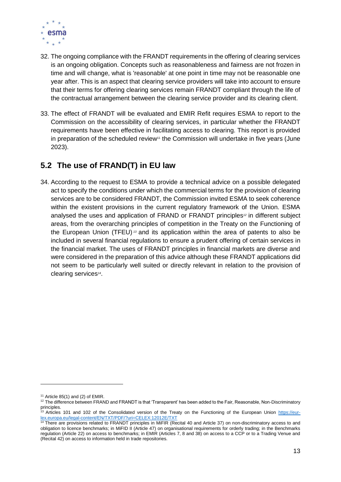

- 32. The ongoing compliance with the FRANDT requirements in the offering of clearing services is an ongoing obligation. Concepts such as reasonableness and fairness are not frozen in time and will change, what is 'reasonable' at one point in time may not be reasonable one year after. This is an aspect that clearing service providers will take into account to ensure that their terms for offering clearing services remain FRANDT compliant through the life of the contractual arrangement between the clearing service provider and its clearing client.
- 33. The effect of FRANDT will be evaluated and EMIR Refit requires ESMA to report to the Commission on the accessibility of clearing services, in particular whether the FRANDT requirements have been effective in facilitating access to clearing. This report is provided in preparation of the scheduled review<sup>11</sup> the Commission will undertake in five years (June 2023).

### <span id="page-12-0"></span>**5.2 The use of FRAND(T) in EU law**

34. According to the request to ESMA to provide a technical advice on a possible delegated act to specify the conditions under which the commercial terms for the provision of clearing services are to be considered FRANDT, the Commission invited ESMA to seek coherence within the existent provisions in the current regulatory framework of the Union. ESMA analysed the uses and application of FRAND or FRANDT principles*<sup>12</sup>* in different subject areas, from the overarching principles of competition in the Treaty on the Functioning of the European Union (TFEU) *<sup>13</sup>* and its application within the area of patents to also be included in several financial regulations to ensure a prudent offering of certain services in the financial market. The uses of FRANDT principles in financial markets are diverse and were considered in the preparation of this advice although these FRANDT applications did not seem to be particularly well suited or directly relevant in relation to the provision of clearing services*<sup>14</sup>* .

1

 $11$  Article 85(1) and (2) of EMIR.

<sup>&</sup>lt;sup>12</sup> The difference between FRAND and FRANDT is that 'Transparent' has been added to the Fair, Reasonable, Non-Discriminatory principles.

<sup>&</sup>lt;sup>13</sup> Articles 101 and 102 of the Consolidated version of the Treaty on the Functioning of the European Union [https://eur](https://eur-lex.europa.eu/legal-content/EN/TXT/PDF/?uri=CELEX:12012E/TXT)[lex.europa.eu/legal-content/EN/TXT/PDF/?uri=CELEX:12012E/TXT](https://eur-lex.europa.eu/legal-content/EN/TXT/PDF/?uri=CELEX:12012E/TXT)

<sup>&</sup>lt;sup>14</sup> There are provisions related to FRANDT principles in MiFIR (Recital 40 and Article 37) on non-discriminatory access to and obligation to licence benchmarks; in MiFID II (Article 47) on organisational requirements for orderly trading; in the Benchmarks regulation (Article 22) on access to benchmarks; in EMIR (Articles 7, 8 and 38) on access to a CCP or to a Trading Venue and (Recital 42) on access to information held in trade repositories.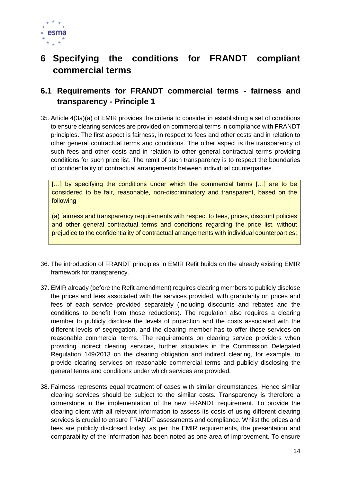

# <span id="page-13-0"></span>**6 Specifying the conditions for FRANDT compliant commercial terms**

### <span id="page-13-1"></span>**6.1 Requirements for FRANDT commercial terms - fairness and transparency - Principle 1**

35. Article 4(3a)(a) of EMIR provides the criteria to consider in establishing a set of conditions to ensure clearing services are provided on commercial terms in compliance with FRANDT principles. The first aspect is fairness, in respect to fees and other costs and in relation to other general contractual terms and conditions. The other aspect is the transparency of such fees and other costs and in relation to other general contractual terms providing conditions for such price list. The remit of such transparency is to respect the boundaries of confidentiality of contractual arrangements between individual counterparties.

[...] by specifying the conditions under which the commercial terms [...] are to be considered to be fair, reasonable, non-discriminatory and transparent, based on the following

(a) fairness and transparency requirements with respect to fees, prices, discount policies and other general contractual terms and conditions regarding the price list, without prejudice to the confidentiality of contractual arrangements with individual counterparties;

- 36. The introduction of FRANDT principles in EMIR Refit builds on the already existing EMIR framework for transparency.
- 37. EMIR already (before the Refit amendment) requires clearing members to publicly disclose the prices and fees associated with the services provided, with granularity on prices and fees of each service provided separately (including discounts and rebates and the conditions to benefit from those reductions). The regulation also requires a clearing member to publicly disclose the levels of protection and the costs associated with the different levels of segregation, and the clearing member has to offer those services on reasonable commercial terms. The requirements on clearing service providers when providing indirect clearing services, further stipulates in the Commission Delegated Regulation 149/2013 on the clearing obligation and indirect clearing, for example, to provide clearing services on reasonable commercial terms and publicly disclosing the general terms and conditions under which services are provided.
- 38. Fairness represents equal treatment of cases with similar circumstances. Hence similar clearing services should be subject to the similar costs. Transparency is therefore a cornerstone in the implementation of the new FRANDT requirement. To provide the clearing client with all relevant information to assess its costs of using different clearing services is crucial to ensure FRANDT assessments and compliance. Whilst the prices and fees are publicly disclosed today, as per the EMIR requirements, the presentation and comparability of the information has been noted as one area of improvement. To ensure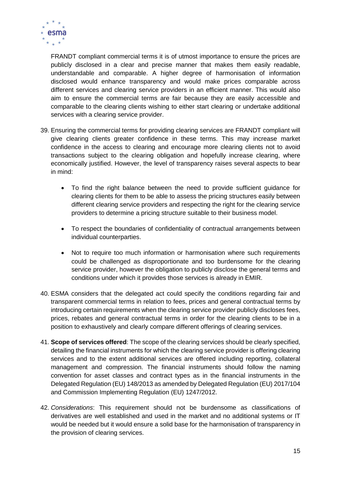

FRANDT compliant commercial terms it is of utmost importance to ensure the prices are publicly disclosed in a clear and precise manner that makes them easily readable, understandable and comparable. A higher degree of harmonisation of information disclosed would enhance transparency and would make prices comparable across different services and clearing service providers in an efficient manner. This would also aim to ensure the commercial terms are fair because they are easily accessible and comparable to the clearing clients wishing to either start clearing or undertake additional services with a clearing service provider.

- 39. Ensuring the commercial terms for providing clearing services are FRANDT compliant will give clearing clients greater confidence in these terms. This may increase market confidence in the access to clearing and encourage more clearing clients not to avoid transactions subject to the clearing obligation and hopefully increase clearing, where economically justified. However, the level of transparency raises several aspects to bear in mind:
	- To find the right balance between the need to provide sufficient guidance for clearing clients for them to be able to assess the pricing structures easily between different clearing service providers and respecting the right for the clearing service providers to determine a pricing structure suitable to their business model.
	- To respect the boundaries of confidentiality of contractual arrangements between individual counterparties.
	- Not to require too much information or harmonisation where such requirements could be challenged as disproportionate and too burdensome for the clearing service provider, however the obligation to publicly disclose the general terms and conditions under which it provides those services is already in EMIR.
- 40. ESMA considers that the delegated act could specify the conditions regarding fair and transparent commercial terms in relation to fees, prices and general contractual terms by introducing certain requirements when the clearing service provider publicly discloses fees, prices, rebates and general contractual terms in order for the clearing clients to be in a position to exhaustively and clearly compare different offerings of clearing services.
- 41. **Scope of services offered**: The scope of the clearing services should be clearly specified, detailing the financial instruments for which the clearing service provider is offering clearing services and to the extent additional services are offered including reporting, collateral management and compression. The financial instruments should follow the naming convention for asset classes and contract types as in the financial instruments in the Delegated Regulation (EU) 148/2013 as amended by Delegated Regulation (EU) 2017/104 and Commission Implementing Regulation (EU) 1247/2012.
- 42. *Considerations*: This requirement should not be burdensome as classifications of derivatives are well established and used in the market and no additional systems or IT would be needed but it would ensure a solid base for the harmonisation of transparency in the provision of clearing services.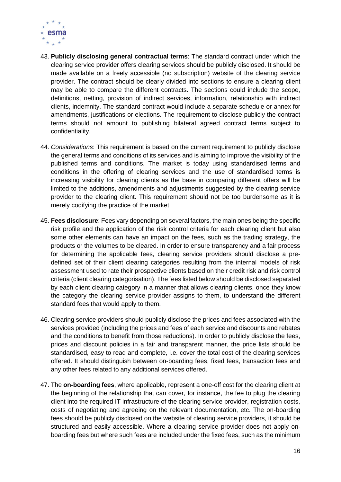

- 43. **Publicly disclosing general contractual terms**: The standard contract under which the clearing service provider offers clearing services should be publicly disclosed. It should be made available on a freely accessible (no subscription) website of the clearing service provider. The contract should be clearly divided into sections to ensure a clearing client may be able to compare the different contracts. The sections could include the scope, definitions, netting, provision of indirect services, information, relationship with indirect clients, indemnity. The standard contract would include a separate schedule or annex for amendments, justifications or elections. The requirement to disclose publicly the contract terms should not amount to publishing bilateral agreed contract terms subject to confidentiality.
- 44. *Considerations*: This requirement is based on the current requirement to publicly disclose the general terms and conditions of its services and is aiming to improve the visibility of the published terms and conditions. The market is today using standardised terms and conditions in the offering of clearing services and the use of standardised terms is increasing visibility for clearing clients as the base in comparing different offers will be limited to the additions, amendments and adjustments suggested by the clearing service provider to the clearing client. This requirement should not be too burdensome as it is merely codifying the practice of the market.
- 45. **Fees disclosure**: Fees vary depending on several factors, the main ones being the specific risk profile and the application of the risk control criteria for each clearing client but also some other elements can have an impact on the fees, such as the trading strategy, the products or the volumes to be cleared. In order to ensure transparency and a fair process for determining the applicable fees, clearing service providers should disclose a predefined set of their client clearing categories resulting from the internal models of risk assessment used to rate their prospective clients based on their credit risk and risk control criteria (client clearing categorisation). The fees listed below should be disclosed separated by each client clearing category in a manner that allows clearing clients, once they know the category the clearing service provider assigns to them, to understand the different standard fees that would apply to them.
- 46. Clearing service providers should publicly disclose the prices and fees associated with the services provided (including the prices and fees of each service and discounts and rebates and the conditions to benefit from those reductions). In order to publicly disclose the fees, prices and discount policies in a fair and transparent manner, the price lists should be standardised, easy to read and complete, i.e. cover the total cost of the clearing services offered. It should distinguish between on-boarding fees, fixed fees, transaction fees and any other fees related to any additional services offered.
- 47. The **on-boarding fees**, where applicable, represent a one-off cost for the clearing client at the beginning of the relationship that can cover, for instance, the fee to plug the clearing client into the required IT infrastructure of the clearing service provider, registration costs, costs of negotiating and agreeing on the relevant documentation, etc. The on-boarding fees should be publicly disclosed on the website of clearing service providers, it should be structured and easily accessible. Where a clearing service provider does not apply onboarding fees but where such fees are included under the fixed fees, such as the minimum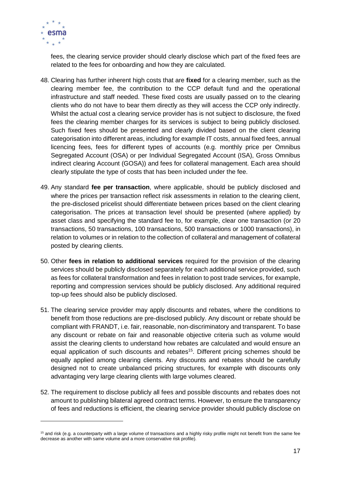

1

fees, the clearing service provider should clearly disclose which part of the fixed fees are related to the fees for onboarding and how they are calculated.

- 48. Clearing has further inherent high costs that are **fixed** for a clearing member, such as the clearing member fee, the contribution to the CCP default fund and the operational infrastructure and staff needed. These fixed costs are usually passed on to the clearing clients who do not have to bear them directly as they will access the CCP only indirectly. Whilst the actual cost a clearing service provider has is not subject to disclosure, the fixed fees the clearing member charges for its services is subject to being publicly disclosed. Such fixed fees should be presented and clearly divided based on the client clearing categorisation into different areas, including for example IT costs, annual fixed fees, annual licencing fees, fees for different types of accounts (e.g. monthly price per Omnibus Segregated Account (OSA) or per Individual Segregated Account (ISA), Gross Omnibus indirect clearing Account (GOSA)) and fees for collateral management. Each area should clearly stipulate the type of costs that has been included under the fee.
- 49. Any standard **fee per transaction**, where applicable, should be publicly disclosed and where the prices per transaction reflect risk assessments in relation to the clearing client, the pre-disclosed pricelist should differentiate between prices based on the client clearing categorisation. The prices at transaction level should be presented (where applied) by asset class and specifying the standard fee to, for example, clear one transaction (or 20 transactions, 50 transactions, 100 transactions, 500 transactions or 1000 transactions), in relation to volumes or in relation to the collection of collateral and management of collateral posted by clearing clients.
- 50. Other **fees in relation to additional services** required for the provision of the clearing services should be publicly disclosed separately for each additional service provided, such as fees for collateral transformation and fees in relation to post trade services, for example, reporting and compression services should be publicly disclosed. Any additional required top-up fees should also be publicly disclosed.
- 51. The clearing service provider may apply discounts and rebates, where the conditions to benefit from those reductions are pre-disclosed publicly. Any discount or rebate should be compliant with FRANDT, i.e. fair, reasonable, non-discriminatory and transparent. To base any discount or rebate on fair and reasonable objective criteria such as volume would assist the clearing clients to understand how rebates are calculated and would ensure an equal application of such discounts and rebates<sup>15</sup>. Different pricing schemes should be equally applied among clearing clients. Any discounts and rebates should be carefully designed not to create unbalanced pricing structures, for example with discounts only advantaging very large clearing clients with large volumes cleared.
- 52. The requirement to disclose publicly all fees and possible discounts and rebates does not amount to publishing bilateral agreed contract terms. However, to ensure the transparency of fees and reductions is efficient, the clearing service provider should publicly disclose on

 $15$  and risk (e.g. a counterparty with a large volume of transactions and a highly risky profile might not benefit from the same fee decrease as another with same volume and a more conservative risk profile).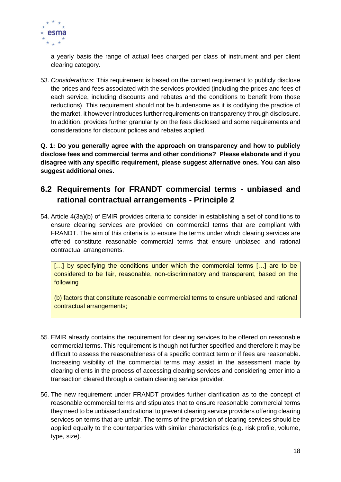

a yearly basis the range of actual fees charged per class of instrument and per client clearing category.

53. *Considerations*: This requirement is based on the current requirement to publicly disclose the prices and fees associated with the services provided (including the prices and fees of each service, including discounts and rebates and the conditions to benefit from those reductions). This requirement should not be burdensome as it is codifying the practice of the market, it however introduces further requirements on transparency through disclosure. In addition, provides further granularity on the fees disclosed and some requirements and considerations for discount polices and rebates applied.

**Q. 1: Do you generally agree with the approach on transparency and how to publicly disclose fees and commercial terms and other conditions? Please elaborate and if you disagree with any specific requirement, please suggest alternative ones. You can also suggest additional ones.**

### <span id="page-17-0"></span>**6.2 Requirements for FRANDT commercial terms - unbiased and rational contractual arrangements - Principle 2**

54. Article 4(3a)(b) of EMIR provides criteria to consider in establishing a set of conditions to ensure clearing services are provided on commercial terms that are compliant with FRANDT. The aim of this criteria is to ensure the terms under which clearing services are offered constitute reasonable commercial terms that ensure unbiased and rational contractual arrangements.

[...] by specifying the conditions under which the commercial terms [...] are to be considered to be fair, reasonable, non-discriminatory and transparent, based on the following

(b) factors that constitute reasonable commercial terms to ensure unbiased and rational contractual arrangements;

- 55. EMIR already contains the requirement for clearing services to be offered on reasonable commercial terms. This requirement is though not further specified and therefore it may be difficult to assess the reasonableness of a specific contract term or if fees are reasonable. Increasing visibility of the commercial terms may assist in the assessment made by clearing clients in the process of accessing clearing services and considering enter into a transaction cleared through a certain clearing service provider.
- 56. The new requirement under FRANDT provides further clarification as to the concept of reasonable commercial terms and stipulates that to ensure reasonable commercial terms they need to be unbiased and rational to prevent clearing service providers offering clearing services on terms that are unfair. The terms of the provision of clearing services should be applied equally to the counterparties with similar characteristics (e.g. risk profile, volume, type, size).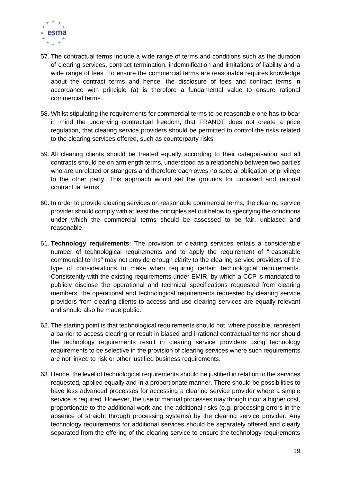

- 57. The contractual terms include a wide range of terms and conditions such as the duration of clearing services, contract termination, indemnification and limitations of liability and a wide range of fees. To ensure the commercial terms are reasonable requires knowledge about the contract terms and hence, the disclosure of fees and contract terms in accordance with principle (a) is therefore a fundamental value to ensure rational commercial terms.
- 58. Whilst stipulating the requirements for commercial terms to be reasonable one has to bear in mind the underlying contractual freedom, that FRANDT does not create a price regulation, that clearing service providers should be permitted to control the risks related to the clearing services offered, such as counterparty risks.
- 59. All clearing clients should be treated equally according to their categorisation and all contracts should be on armlength terms, understood as a relationship between two parties who are unrelated or strangers and therefore each owes no special obligation or privilege to the other party. This approach would set the grounds for unbiased and rational contractual terms.
- 60. In order to provide clearing services on reasonable commercial terms, the clearing service provider should comply with at least the principles set out below to specifying the conditions under which the commercial terms should be assessed to be fair, unbiased and reasonable.
- 61. **Technology requirements**: The provision of clearing services entails a considerable number of technological requirements and to apply the requirement of "reasonable commercial terms" may not provide enough clarity to the clearing service providers of the type of considerations to make when requiring certain technological requirements. Consistently with the existing requirements under EMIR, by which a CCP is mandated to publicly disclose the operational and technical specifications requested from clearing members, the operational and technological requirements requested by clearing service providers from clearing clients to access and use clearing services are equally relevant and should also be made public.
- 62. The starting point is that technological requirements should not, where possible, represent a barrier to access clearing or result in biased and irrational contractual terms nor should the technology requirements result in clearing service providers using technology requirements to be selective in the provision of clearing services where such requirements are not linked to risk or other justified business requirements.
- 63. Hence, the level of technological requirements should be justified in relation to the services requested, applied equally and in a proportionate manner. There should be possibilities to have less advanced processes for accessing a clearing service provider where a simple service is required. However, the use of manual processes may though incur a higher cost, proportionate to the additional work and the additional risks (e.g. processing errors in the absence of straight through processing systems) by the clearing service provider. Any technology requirements for additional services should be separately offered and clearly separated from the offering of the clearing service to ensure the technology requirements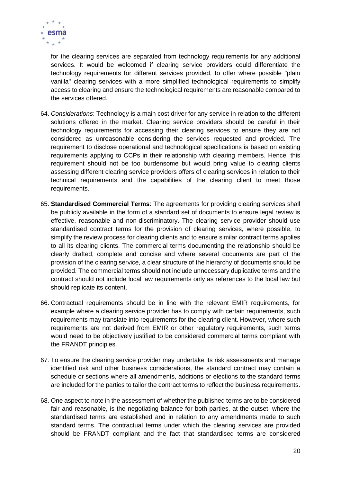

for the clearing services are separated from technology requirements for any additional services. It would be welcomed if clearing service providers could differentiate the technology requirements for different services provided, to offer where possible "plain vanilla" clearing services with a more simplified technological requirements to simplify access to clearing and ensure the technological requirements are reasonable compared to the services offered.

- 64. *Considerations*: Technology is a main cost driver for any service in relation to the different solutions offered in the market. Clearing service providers should be careful in their technology requirements for accessing their clearing services to ensure they are not considered as unreasonable considering the services requested and provided. The requirement to disclose operational and technological specifications is based on existing requirements applying to CCPs in their relationship with clearing members. Hence, this requirement should not be too burdensome but would bring value to clearing clients assessing different clearing service providers offers of clearing services in relation to their technical requirements and the capabilities of the clearing client to meet those requirements.
- 65. **Standardised Commercial Terms**: The agreements for providing clearing services shall be publicly available in the form of a standard set of documents to ensure legal review is effective, reasonable and non-discriminatory. The clearing service provider should use standardised contract terms for the provision of clearing services, where possible, to simplify the review process for clearing clients and to ensure similar contract terms applies to all its clearing clients. The commercial terms documenting the relationship should be clearly drafted, complete and concise and where several documents are part of the provision of the clearing service, a clear structure of the hierarchy of documents should be provided. The commercial terms should not include unnecessary duplicative terms and the contract should not include local law requirements only as references to the local law but should replicate its content.
- 66. Contractual requirements should be in line with the relevant EMIR requirements, for example where a clearing service provider has to comply with certain requirements, such requirements may translate into requirements for the clearing client. However, where such requirements are not derived from EMIR or other regulatory requirements, such terms would need to be objectively justified to be considered commercial terms compliant with the FRANDT principles.
- 67. To ensure the clearing service provider may undertake its risk assessments and manage identified risk and other business considerations, the standard contract may contain a schedule or sections where all amendments, additions or elections to the standard terms are included for the parties to tailor the contract terms to reflect the business requirements.
- 68. One aspect to note in the assessment of whether the published terms are to be considered fair and reasonable, is the negotiating balance for both parties, at the outset, where the standardised terms are established and in relation to any amendments made to such standard terms. The contractual terms under which the clearing services are provided should be FRANDT compliant and the fact that standardised terms are considered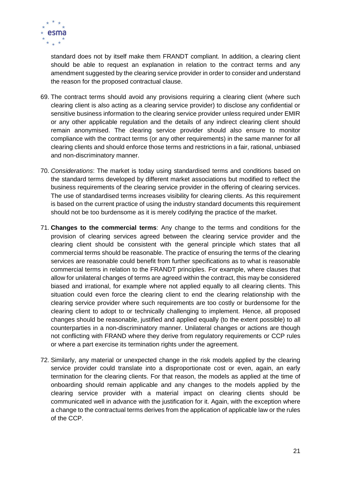

standard does not by itself make them FRANDT compliant. In addition, a clearing client should be able to request an explanation in relation to the contract terms and any amendment suggested by the clearing service provider in order to consider and understand the reason for the proposed contractual clause.

- 69. The contract terms should avoid any provisions requiring a clearing client (where such clearing client is also acting as a clearing service provider) to disclose any confidential or sensitive business information to the clearing service provider unless required under EMIR or any other applicable regulation and the details of any indirect clearing client should remain anonymised. The clearing service provider should also ensure to monitor compliance with the contract terms (or any other requirements) in the same manner for all clearing clients and should enforce those terms and restrictions in a fair, rational, unbiased and non-discriminatory manner.
- 70. *Considerations*: The market is today using standardised terms and conditions based on the standard terms developed by different market associations but modified to reflect the business requirements of the clearing service provider in the offering of clearing services. The use of standardised terms increases visibility for clearing clients. As this requirement is based on the current practice of using the industry standard documents this requirement should not be too burdensome as it is merely codifying the practice of the market.
- 71. **Changes to the commercial terms**: Any change to the terms and conditions for the provision of clearing services agreed between the clearing service provider and the clearing client should be consistent with the general principle which states that all commercial terms should be reasonable. The practice of ensuring the terms of the clearing services are reasonable could benefit from further specifications as to what is reasonable commercial terms in relation to the FRANDT principles. For example, where clauses that allow for unilateral changes of terms are agreed within the contract, this may be considered biased and irrational, for example where not applied equally to all clearing clients. This situation could even force the clearing client to end the clearing relationship with the clearing service provider where such requirements are too costly or burdensome for the clearing client to adopt to or technically challenging to implement. Hence, all proposed changes should be reasonable, justified and applied equally (to the extent possible) to all counterparties in a non-discriminatory manner. Unilateral changes or actions are though not conflicting with FRAND where they derive from regulatory requirements or CCP rules or where a part exercise its termination rights under the agreement.
- 72. Similarly, any material or unexpected change in the risk models applied by the clearing service provider could translate into a disproportionate cost or even, again, an early termination for the clearing clients. For that reason, the models as applied at the time of onboarding should remain applicable and any changes to the models applied by the clearing service provider with a material impact on clearing clients should be communicated well in advance with the justification for it. Again, with the exception where a change to the contractual terms derives from the application of applicable law or the rules of the CCP.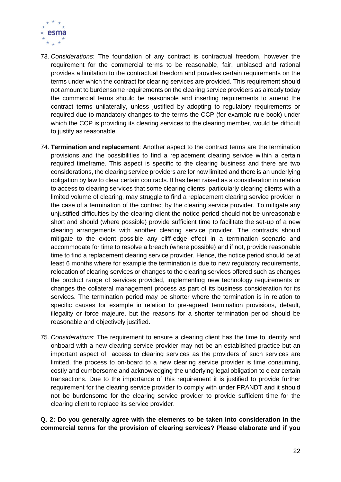

- 73. *Considerations*: The foundation of any contract is contractual freedom, however the requirement for the commercial terms to be reasonable, fair, unbiased and rational provides a limitation to the contractual freedom and provides certain requirements on the terms under which the contract for clearing services are provided. This requirement should not amount to burdensome requirements on the clearing service providers as already today the commercial terms should be reasonable and inserting requirements to amend the contract terms unilaterally, unless justified by adopting to regulatory requirements or required due to mandatory changes to the terms the CCP (for example rule book) under which the CCP is providing its clearing services to the clearing member, would be difficult to justify as reasonable.
- 74. **Termination and replacement**: Another aspect to the contract terms are the termination provisions and the possibilities to find a replacement clearing service within a certain required timeframe. This aspect is specific to the clearing business and there are two considerations, the clearing service providers are for now limited and there is an underlying obligation by law to clear certain contracts. It has been raised as a consideration in relation to access to clearing services that some clearing clients, particularly clearing clients with a limited volume of clearing, may struggle to find a replacement clearing service provider in the case of a termination of the contract by the clearing service provider. To mitigate any unjustified difficulties by the clearing client the notice period should not be unreasonable short and should (where possible) provide sufficient time to facilitate the set-up of a new clearing arrangements with another clearing service provider. The contracts should mitigate to the extent possible any cliff-edge effect in a termination scenario and accommodate for time to resolve a breach (where possible) and if not, provide reasonable time to find a replacement clearing service provider. Hence, the notice period should be at least 6 months where for example the termination is due to new regulatory requirements, relocation of clearing services or changes to the clearing services offered such as changes the product range of services provided, implementing new technology requirements or changes the collateral management process as part of its business consideration for its services. The termination period may be shorter where the termination is in relation to specific causes for example in relation to pre-agreed termination provisions, default, illegality or force majeure, but the reasons for a shorter termination period should be reasonable and objectively justified.
- 75. *Considerations*: The requirement to ensure a clearing client has the time to identify and onboard with a new clearing service provider may not be an established practice but an important aspect of access to clearing services as the providers of such services are limited, the process to on-board to a new clearing service provider is time consuming, costly and cumbersome and acknowledging the underlying legal obligation to clear certain transactions. Due to the importance of this requirement it is justified to provide further requirement for the clearing service provider to comply with under FRANDT and it should not be burdensome for the clearing service provider to provide sufficient time for the clearing client to replace its service provider.

**Q. 2: Do you generally agree with the elements to be taken into consideration in the commercial terms for the provision of clearing services? Please elaborate and if you**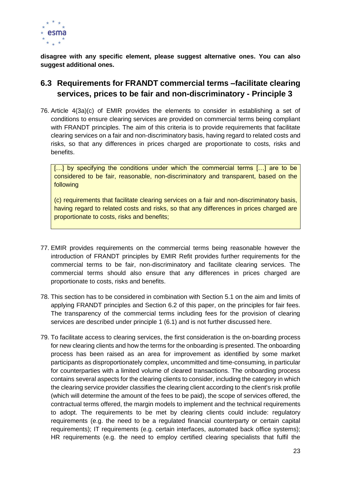

**disagree with any specific element, please suggest alternative ones. You can also suggest additional ones.**

### <span id="page-22-0"></span>**6.3 Requirements for FRANDT commercial terms –facilitate clearing services, prices to be fair and non-discriminatory - Principle 3**

76. Article 4(3a)(c) of EMIR provides the elements to consider in establishing a set of conditions to ensure clearing services are provided on commercial terms being compliant with FRANDT principles. The aim of this criteria is to provide requirements that facilitate clearing services on a fair and non-discriminatory basis, having regard to related costs and risks, so that any differences in prices charged are proportionate to costs, risks and benefits.

[...] by specifying the conditions under which the commercial terms [...] are to be considered to be fair, reasonable, non-discriminatory and transparent, based on the following

(c) requirements that facilitate clearing services on a fair and non-discriminatory basis, having regard to related costs and risks, so that any differences in prices charged are proportionate to costs, risks and benefits;

- 77. EMIR provides requirements on the commercial terms being reasonable however the introduction of FRANDT principles by EMIR Refit provides further requirements for the commercial terms to be fair, non-discriminatory and facilitate clearing services. The commercial terms should also ensure that any differences in prices charged are proportionate to costs, risks and benefits.
- 78. This section has to be considered in combination with Section 5.1 on the aim and limits of applying FRANDT principles and Section 6.2 of this paper, on the principles for fair fees. The transparency of the commercial terms including fees for the provision of clearing services are described under principle 1 (6.1) and is not further discussed here.
- 79. To facilitate access to clearing services, the first consideration is the on-boarding process for new clearing clients and how the terms for the onboarding is presented. The onboarding process has been raised as an area for improvement as identified by some market participants as disproportionately complex, uncommitted and time-consuming, in particular for counterparties with a limited volume of cleared transactions. The onboarding process contains several aspects for the clearing clients to consider, including the category in which the clearing service provider classifies the clearing client according to the client's risk profile (which will determine the amount of the fees to be paid), the scope of services offered, the contractual terms offered, the margin models to implement and the technical requirements to adopt. The requirements to be met by clearing clients could include: regulatory requirements (e.g. the need to be a regulated financial counterparty or certain capital requirements); IT requirements (e.g. certain interfaces, automated back office systems); HR requirements (e.g. the need to employ certified clearing specialists that fulfil the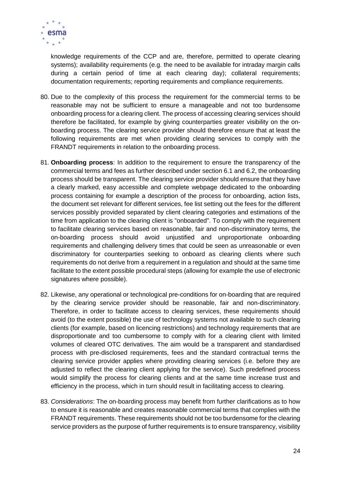

knowledge requirements of the CCP and are, therefore, permitted to operate clearing systems); availability requirements (e.g. the need to be available for intraday margin calls during a certain period of time at each clearing day); collateral requirements; documentation requirements; reporting requirements and compliance requirements.

- 80. Due to the complexity of this process the requirement for the commercial terms to be reasonable may not be sufficient to ensure a manageable and not too burdensome onboarding process for a clearing client. The process of accessing clearing services should therefore be facilitated, for example by giving counterparties greater visibility on the onboarding process. The clearing service provider should therefore ensure that at least the following requirements are met when providing clearing services to comply with the FRANDT requirements in relation to the onboarding process.
- 81. **Onboarding process**: In addition to the requirement to ensure the transparency of the commercial terms and fees as further described under section 6.1 and 6.2, the onboarding process should be transparent. The clearing service provider should ensure that they have a clearly marked, easy accessible and complete webpage dedicated to the onboarding process containing for example a description of the process for onboarding, action lists, the document set relevant for different services, fee list setting out the fees for the different services possibly provided separated by client clearing categories and estimations of the time from application to the clearing client is "onboarded". To comply with the requirement to facilitate clearing services based on reasonable, fair and non-discriminatory terms, the on-boarding process should avoid unjustified and unproportionate onboarding requirements and challenging delivery times that could be seen as unreasonable or even discriminatory for counterparties seeking to onboard as clearing clients where such requirements do not derive from a requirement in a regulation and should at the same time facilitate to the extent possible procedural steps (allowing for example the use of electronic signatures where possible).
- 82. Likewise, any operational or technological pre-conditions for on-boarding that are required by the clearing service provider should be reasonable, fair and non-discriminatory. Therefore, in order to facilitate access to clearing services, these requirements should avoid (to the extent possible) the use of technology systems not available to such clearing clients (for example, based on licencing restrictions) and technology requirements that are disproportionate and too cumbersome to comply with for a clearing client with limited volumes of cleared OTC derivatives. The aim would be a transparent and standardised process with pre-disclosed requirements, fees and the standard contractual terms the clearing service provider applies where providing clearing services (i.e. before they are adjusted to reflect the clearing client applying for the service). Such predefined process would simplify the process for clearing clients and at the same time increase trust and efficiency in the process, which in turn should result in facilitating access to clearing.
- 83. *Considerations*: The on-boarding process may benefit from further clarifications as to how to ensure it is reasonable and creates reasonable commercial terms that complies with the FRANDT requirements. These requirements should not be too burdensome for the clearing service providers as the purpose of further requirements is to ensure transparency, visibility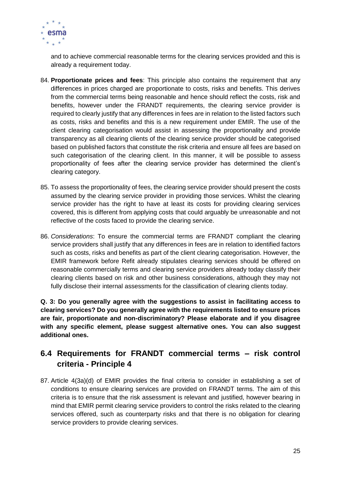

and to achieve commercial reasonable terms for the clearing services provided and this is already a requirement today.

- 84. **Proportionate prices and fees**: This principle also contains the requirement that any differences in prices charged are proportionate to costs, risks and benefits. This derives from the commercial terms being reasonable and hence should reflect the costs, risk and benefits, however under the FRANDT requirements, the clearing service provider is required to clearly justify that any differences in fees are in relation to the listed factors such as costs, risks and benefits and this is a new requirement under EMIR. The use of the client clearing categorisation would assist in assessing the proportionality and provide transparency as all clearing clients of the clearing service provider should be categorised based on published factors that constitute the risk criteria and ensure all fees are based on such categorisation of the clearing client. In this manner, it will be possible to assess proportionality of fees after the clearing service provider has determined the client's clearing category.
- 85. To assess the proportionality of fees, the clearing service provider should present the costs assumed by the clearing service provider in providing those services. Whilst the clearing service provider has the right to have at least its costs for providing clearing services covered, this is different from applying costs that could arguably be unreasonable and not reflective of the costs faced to provide the clearing service.
- 86. *Considerations*: To ensure the commercial terms are FRANDT compliant the clearing service providers shall justify that any differences in fees are in relation to identified factors such as costs, risks and benefits as part of the client clearing categorisation. However, the EMIR framework before Refit already stipulates clearing services should be offered on reasonable commercially terms and clearing service providers already today classify their clearing clients based on risk and other business considerations, although they may not fully disclose their internal assessments for the classification of clearing clients today.

**Q. 3: Do you generally agree with the suggestions to assist in facilitating access to clearing services? Do you generally agree with the requirements listed to ensure prices are fair, proportionate and non-discriminatory? Please elaborate and if you disagree with any specific element, please suggest alternative ones. You can also suggest additional ones.**

### <span id="page-24-0"></span>**6.4 Requirements for FRANDT commercial terms – risk control criteria - Principle 4**

87. Article 4(3a)(d) of EMIR provides the final criteria to consider in establishing a set of conditions to ensure clearing services are provided on FRANDT terms. The aim of this criteria is to ensure that the risk assessment is relevant and justified, however bearing in mind that EMIR permit clearing service providers to control the risks related to the clearing services offered, such as counterparty risks and that there is no obligation for clearing service providers to provide clearing services.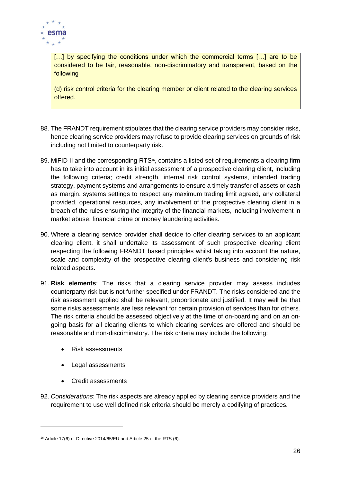

[...] by specifying the conditions under which the commercial terms [...] are to be considered to be fair, reasonable, non-discriminatory and transparent, based on the following

(d) risk control criteria for the clearing member or client related to the clearing services offered.

- 88. The FRANDT requirement stipulates that the clearing service providers may consider risks, hence clearing service providers may refuse to provide clearing services on grounds of risk including not limited to counterparty risk.
- 89. MiFID II and the corresponding RTS<sup>16</sup>, contains a listed set of requirements a clearing firm has to take into account in its initial assessment of a prospective clearing client, including the following criteria; credit strength, internal risk control systems, intended trading strategy, payment systems and arrangements to ensure a timely transfer of assets or cash as margin, systems settings to respect any maximum trading limit agreed, any collateral provided, operational resources, any involvement of the prospective clearing client in a breach of the rules ensuring the integrity of the financial markets, including involvement in market abuse, financial crime or money laundering activities.
- 90. Where a clearing service provider shall decide to offer clearing services to an applicant clearing client, it shall undertake its assessment of such prospective clearing client respecting the following FRANDT based principles whilst taking into account the nature, scale and complexity of the prospective clearing client's business and considering risk related aspects.
- 91. **Risk elements**: The risks that a clearing service provider may assess includes counterparty risk but is not further specified under FRANDT. The risks considered and the risk assessment applied shall be relevant, proportionate and justified. It may well be that some risks assessments are less relevant for certain provision of services than for others. The risk criteria should be assessed objectively at the time of on-boarding and on an ongoing basis for all clearing clients to which clearing services are offered and should be reasonable and non-discriminatory. The risk criteria may include the following:
	- Risk assessments
	- Legal assessments
	- Credit assessments

 $\overline{a}$ 

92. *Considerations*: The risk aspects are already applied by clearing service providers and the requirement to use well defined risk criteria should be merely a codifying of practices.

<sup>16</sup> Article 17(6) of Directive 2014/65/EU and Article 25 of the RTS (6).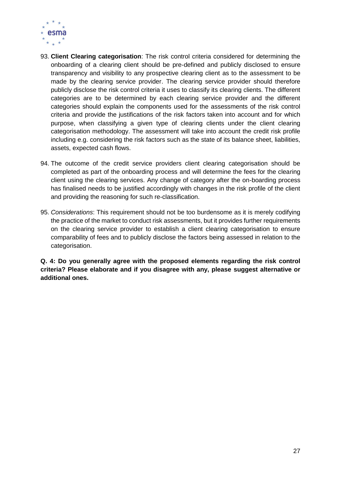

- 93. **Client Clearing categorisation**: The risk control criteria considered for determining the onboarding of a clearing client should be pre-defined and publicly disclosed to ensure transparency and visibility to any prospective clearing client as to the assessment to be made by the clearing service provider. The clearing service provider should therefore publicly disclose the risk control criteria it uses to classify its clearing clients. The different categories are to be determined by each clearing service provider and the different categories should explain the components used for the assessments of the risk control criteria and provide the justifications of the risk factors taken into account and for which purpose, when classifying a given type of clearing clients under the client clearing categorisation methodology. The assessment will take into account the credit risk profile including e.g. considering the risk factors such as the state of its balance sheet, liabilities, assets, expected cash flows.
- 94. The outcome of the credit service providers client clearing categorisation should be completed as part of the onboarding process and will determine the fees for the clearing client using the clearing services. Any change of category after the on-boarding process has finalised needs to be justified accordingly with changes in the risk profile of the client and providing the reasoning for such re-classification.
- 95. *Considerations*: This requirement should not be too burdensome as it is merely codifying the practice of the market to conduct risk assessments, but it provides further requirements on the clearing service provider to establish a client clearing categorisation to ensure comparability of fees and to publicly disclose the factors being assessed in relation to the categorisation.

**Q. 4: Do you generally agree with the proposed elements regarding the risk control criteria? Please elaborate and if you disagree with any, please suggest alternative or additional ones.**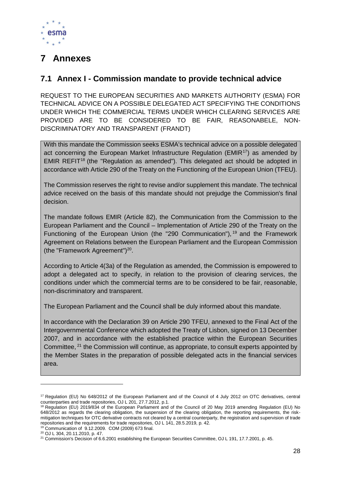

# <span id="page-27-0"></span>**7 Annexes**

### <span id="page-27-1"></span>**7.1 Annex I - Commission mandate to provide technical advice**

REQUEST TO THE EUROPEAN SECURITIES AND MARKETS AUTHORITY (ESMA) FOR TECHNICAL ADVICE ON A POSSIBLE DELEGATED ACT SPECIFYING THE CONDITIONS UNDER WHICH THE COMMERCIAL TERMS UNDER WHICH CLEARING SERVICES ARE PROVIDED ARE TO BE CONSIDERED TO BE FAIR, REASONABELE, NON-DISCRIMINATORY AND TRANSPARENT (FRANDT)

With this mandate the Commission seeks ESMA's technical advice on a possible delegated act concerning the European Market Infrastructure Regulation (EMIR<sup>17</sup>) as amended by EMIR REFIT<sup>18</sup> (the "Regulation as amended"). This delegated act should be adopted in accordance with Article 290 of the Treaty on the Functioning of the European Union (TFEU).

The Commission reserves the right to revise and/or supplement this mandate. The technical advice received on the basis of this mandate should not prejudge the Commission's final decision.

The mandate follows EMIR (Article 82), the Communication from the Commission to the European Parliament and the Council – Implementation of Article 290 of the Treaty on the Functioning of the European Union (the "290 Communication"), <sup>19</sup> and the Framework Agreement on Relations between the European Parliament and the European Commission (the "Framework Agreement") $20$ .

According to Article 4(3a) of the Regulation as amended, the Commission is empowered to adopt a delegated act to specify, in relation to the provision of clearing services, the conditions under which the commercial terms are to be considered to be fair, reasonable, non-discriminatory and transparent.

The European Parliament and the Council shall be duly informed about this mandate.

In accordance with the Declaration 39 on Article 290 TFEU, annexed to the Final Act of the Intergovernmental Conference which adopted the Treaty of Lisbon, signed on 13 December 2007, and in accordance with the established practice within the European Securities Committee, <sup>21</sup> the Commission will continue, as appropriate, to consult experts appointed by the Member States in the preparation of possible delegated acts in the financial services area.

1

<sup>17</sup> Regulation (EU) No 648/2012 of the European Parliament and of the Council of 4 July 2012 on OTC derivatives, central counterparties and trade repositories, OJ L 201, 27.7.2012, p.1.

<sup>&</sup>lt;sup>18</sup> Regulation (EU) 2019/834 of the European Parliament and of the Council of 20 May 2019 amending Regulation (EU) No 648/2012 as regards the clearing obligation, the suspension of the clearing obligation, the reporting requirements, the riskmitigation techniques for OTC derivative contracts not cleared by a central counterparty, the registration and supervision of trade repositories and the requirements for trade repositories, OJ L 141, 28.5.2019, p. 42. <sup>19</sup> Communication of 9.12.2009. COM (2009) 673 final.

<sup>20</sup> OJ L 304, 20.11.2010, p. 47.

<sup>&</sup>lt;sup>21</sup> Commission's Decision of 6.6.2001 establishing the European Securities Committee, OJ L 191, 17.7.2001, p. 45.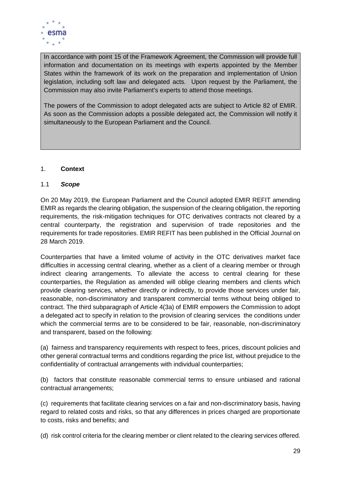

In accordance with point 15 of the Framework Agreement, the Commission will provide full information and documentation on its meetings with experts appointed by the Member States within the framework of its work on the preparation and implementation of Union legislation, including soft law and delegated acts. Upon request by the Parliament, the Commission may also invite Parliament's experts to attend those meetings.

The powers of the Commission to adopt delegated acts are subject to Article 82 of EMIR. As soon as the Commission adopts a possible delegated act, the Commission will notify it simultaneously to the European Parliament and the Council.

### 1. **Context**

#### 1.1 *Scope*

On 20 May 2019, the European Parliament and the Council adopted EMIR REFIT amending EMIR as regards the clearing obligation, the suspension of the clearing obligation, the reporting requirements, the risk-mitigation techniques for OTC derivatives contracts not cleared by a central counterparty, the registration and supervision of trade repositories and the requirements for trade repositories. EMIR REFIT has been published in the Official Journal on 28 March 2019.

Counterparties that have a limited volume of activity in the OTC derivatives market face difficulties in accessing central clearing, whether as a client of a clearing member or through indirect clearing arrangements. To alleviate the access to central clearing for these counterparties, the Regulation as amended will oblige clearing members and clients which provide clearing services, whether directly or indirectly, to provide those services under fair, reasonable, non-discriminatory and transparent commercial terms without being obliged to contract. The third subparagraph of Article 4(3a) of EMIR empowers the Commission to adopt a delegated act to specify in relation to the provision of clearing services the conditions under which the commercial terms are to be considered to be fair, reasonable, non-discriminatory and transparent, based on the following:

(a) fairness and transparency requirements with respect to fees, prices, discount policies and other general contractual terms and conditions regarding the price list, without prejudice to the confidentiality of contractual arrangements with individual counterparties;

(b) factors that constitute reasonable commercial terms to ensure unbiased and rational contractual arrangements;

(c) requirements that facilitate clearing services on a fair and non-discriminatory basis, having regard to related costs and risks, so that any differences in prices charged are proportionate to costs, risks and benefits; and

(d) risk control criteria for the clearing member or client related to the clearing services offered.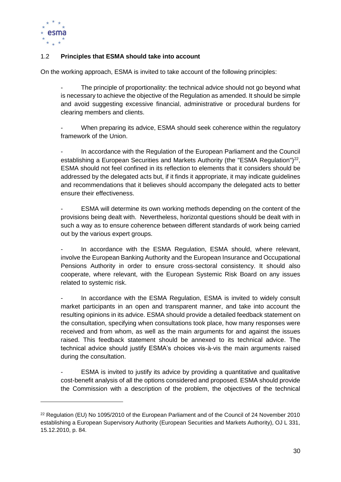

-

### 1.2 **Principles that ESMA should take into account**

On the working approach, ESMA is invited to take account of the following principles:

The principle of proportionality: the technical advice should not go beyond what is necessary to achieve the objective of the Regulation as amended. It should be simple and avoid suggesting excessive financial, administrative or procedural burdens for clearing members and clients.

When preparing its advice, ESMA should seek coherence within the regulatory framework of the Union.

In accordance with the Regulation of the European Parliament and the Council establishing a European Securities and Markets Authority (the "ESMA Regulation") $^{22}$ , ESMA should not feel confined in its reflection to elements that it considers should be addressed by the delegated acts but, if it finds it appropriate, it may indicate guidelines and recommendations that it believes should accompany the delegated acts to better ensure their effectiveness.

ESMA will determine its own working methods depending on the content of the provisions being dealt with. Nevertheless, horizontal questions should be dealt with in such a way as to ensure coherence between different standards of work being carried out by the various expert groups.

In accordance with the ESMA Regulation, ESMA should, where relevant, involve the European Banking Authority and the European Insurance and Occupational Pensions Authority in order to ensure cross-sectoral consistency. It should also cooperate, where relevant, with the European Systemic Risk Board on any issues related to systemic risk.

In accordance with the ESMA Regulation, ESMA is invited to widely consult market participants in an open and transparent manner, and take into account the resulting opinions in its advice. ESMA should provide a detailed feedback statement on the consultation, specifying when consultations took place, how many responses were received and from whom, as well as the main arguments for and against the issues raised. This feedback statement should be annexed to its technical advice. The technical advice should justify ESMA's choices vis-à-vis the main arguments raised during the consultation.

ESMA is invited to justify its advice by providing a quantitative and qualitative cost-benefit analysis of all the options considered and proposed. ESMA should provide the Commission with a description of the problem, the objectives of the technical

<sup>&</sup>lt;sup>22</sup> Regulation (EU) No 1095/2010 of the European Parliament and of the Council of 24 November 2010 establishing a European Supervisory Authority (European Securities and Markets Authority), OJ L 331, 15.12.2010, p. 84.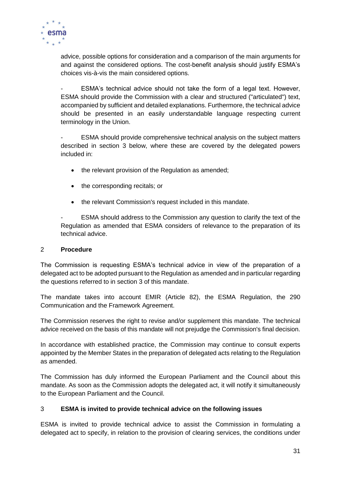

advice, possible options for consideration and a comparison of the main arguments for and against the considered options. The cost-benefit analysis should justify ESMA's choices vis-à-vis the main considered options.

ESMA's technical advice should not take the form of a legal text. However, ESMA should provide the Commission with a clear and structured ("articulated") text, accompanied by sufficient and detailed explanations. Furthermore, the technical advice should be presented in an easily understandable language respecting current terminology in the Union.

ESMA should provide comprehensive technical analysis on the subject matters described in section 3 below, where these are covered by the delegated powers included in:

- the relevant provision of the Regulation as amended:
- the corresponding recitals; or
- the relevant Commission's request included in this mandate.

- ESMA should address to the Commission any question to clarify the text of the Regulation as amended that ESMA considers of relevance to the preparation of its technical advice.

#### 2 **Procedure**

The Commission is requesting ESMA's technical advice in view of the preparation of a delegated act to be adopted pursuant to the Regulation as amended and in particular regarding the questions referred to in section 3 of this mandate.

The mandate takes into account EMIR (Article 82), the ESMA Regulation, the 290 Communication and the Framework Agreement.

The Commission reserves the right to revise and/or supplement this mandate. The technical advice received on the basis of this mandate will not prejudge the Commission's final decision.

In accordance with established practice, the Commission may continue to consult experts appointed by the Member States in the preparation of delegated acts relating to the Regulation as amended.

The Commission has duly informed the European Parliament and the Council about this mandate. As soon as the Commission adopts the delegated act, it will notify it simultaneously to the European Parliament and the Council.

#### 3 **ESMA is invited to provide technical advice on the following issues**

ESMA is invited to provide technical advice to assist the Commission in formulating a delegated act to specify, in relation to the provision of clearing services, the conditions under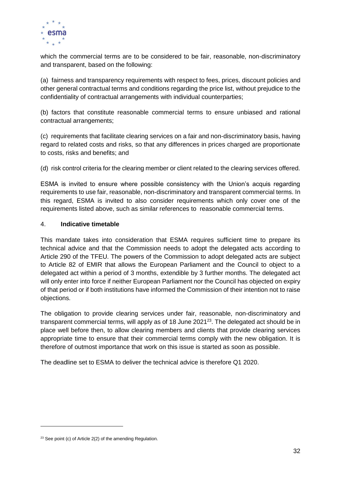

which the commercial terms are to be considered to be fair, reasonable, non-discriminatory and transparent, based on the following:

(a) fairness and transparency requirements with respect to fees, prices, discount policies and other general contractual terms and conditions regarding the price list, without prejudice to the confidentiality of contractual arrangements with individual counterparties;

(b) factors that constitute reasonable commercial terms to ensure unbiased and rational contractual arrangements;

(c) requirements that facilitate clearing services on a fair and non-discriminatory basis, having regard to related costs and risks, so that any differences in prices charged are proportionate to costs, risks and benefits; and

(d) risk control criteria for the clearing member or client related to the clearing services offered.

ESMA is invited to ensure where possible consistency with the Union's acquis regarding requirements to use fair, reasonable, non-discriminatory and transparent commercial terms. In this regard, ESMA is invited to also consider requirements which only cover one of the requirements listed above, such as similar references to reasonable commercial terms.

#### 4. **Indicative timetable**

This mandate takes into consideration that ESMA requires sufficient time to prepare its technical advice and that the Commission needs to adopt the delegated acts according to Article 290 of the TFEU. The powers of the Commission to adopt delegated acts are subject to Article 82 of EMIR that allows the European Parliament and the Council to object to a delegated act within a period of 3 months, extendible by 3 further months. The delegated act will only enter into force if neither European Parliament nor the Council has objected on expiry of that period or if both institutions have informed the Commission of their intention not to raise objections.

The obligation to provide clearing services under fair, reasonable, non-discriminatory and transparent commercial terms, will apply as of 18 June  $2021^{23}$ . The delegated act should be in place well before then, to allow clearing members and clients that provide clearing services appropriate time to ensure that their commercial terms comply with the new obligation. It is therefore of outmost importance that work on this issue is started as soon as possible.

The deadline set to ESMA to deliver the technical advice is therefore Q1 2020.

 $\overline{a}$ 

 $23$  See point (c) of Article 2(2) of the amending Regulation.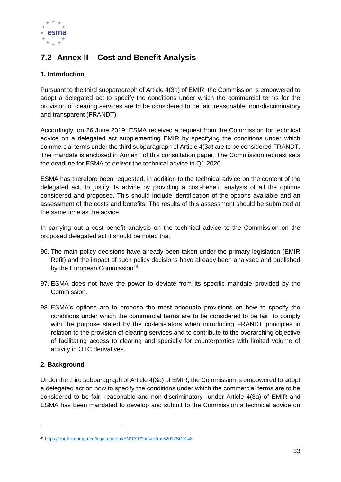

### <span id="page-32-0"></span>**7.2 Annex II – Cost and Benefit Analysis**

### **1. Introduction**

Pursuant to the third subparagraph of Article 4(3a) of EMIR, the Commission is empowered to adopt a delegated act to specify the conditions under which the commercial terms for the provision of clearing services are to be considered to be fair, reasonable, non-discriminatory and transparent (FRANDT).

Accordingly, on 26 June 2019, ESMA received a request from the Commission for technical advice on a delegated act supplementing EMIR by specifying the conditions under which commercial terms under the third subparagraph of Article 4(3a) are to be considered FRANDT. The mandate is enclosed in Annex I of this consultation paper. The Commission request sets the deadline for ESMA to deliver the technical advice in Q1 2020.

ESMA has therefore been requested, in addition to the technical advice on the content of the delegated act, to justify its advice by providing a cost-benefit analysis of all the options considered and proposed. This should include identification of the options available and an assessment of the costs and benefits. The results of this assessment should be submitted at the same time as the advice.

In carrying out a cost benefit analysis on the technical advice to the Commission on the proposed delegated act it should be noted that:

- 96. The main policy decisions have already been taken under the primary legislation (EMIR Refit) and the impact of such policy decisions have already been analysed and published by the European Commission<sup>24</sup>;
- 97. ESMA does not have the power to deviate from its specific mandate provided by the Commission.
- 98. ESMA's options are to propose the most adequate provisions on how to specify the conditions under which the commercial terms are to be considered to be fair to comply with the purpose stated by the co-legislators when introducing FRANDT principles in relation to the provision of clearing services and to contribute to the overarching objective of facilitating access to clearing and specially for counterparties with limited volume of activity in OTC derivatives.

### **2. Background**

 $\overline{a}$ 

Under the third subparagraph of Article 4(3a) of EMIR, the Commission is empowered to adopt a delegated act on how to specify the conditions under which the commercial terms are to be considered to be fair, reasonable and non-discriminatory under Article 4(3a) of EMIR and ESMA has been mandated to develop and submit to the Commission a technical advice on

<sup>24</sup> <https://eur-lex.europa.eu/legal-content/EN/TXT/?uri=celex:52017SC0148>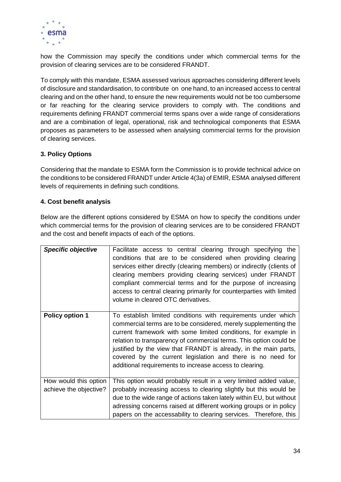

how the Commission may specify the conditions under which commercial terms for the provision of clearing services are to be considered FRANDT.

To comply with this mandate, ESMA assessed various approaches considering different levels of disclosure and standardisation, to contribute on one hand, to an increased access to central clearing and on the other hand, to ensure the new requirements would not be too cumbersome or far reaching for the clearing service providers to comply with. The conditions and requirements defining FRANDT commercial terms spans over a wide range of considerations and are a combination of legal, operational, risk and technological components that ESMA proposes as parameters to be assessed when analysing commercial terms for the provision of clearing services.

### **3. Policy Options**

Considering that the mandate to ESMA form the Commission is to provide technical advice on the conditions to be considered FRANDT under Article 4(3a) of EMIR, ESMA analysed different levels of requirements in defining such conditions.

### **4. Cost benefit analysis**

Below are the different options considered by ESMA on how to specify the conditions under which commercial terms for the provision of clearing services are to be considered FRANDT and the cost and benefit impacts of each of the options.

| <b>Specific objective</b>                       | Facilitate access to central clearing through specifying the<br>conditions that are to be considered when providing clearing<br>services either directly (clearing members) or indirectly (clients of<br>clearing members providing clearing services) under FRANDT<br>compliant commercial terms and for the purpose of increasing<br>access to central clearing primarily for counterparties with limited<br>volume in cleared OTC derivatives.                      |
|-------------------------------------------------|------------------------------------------------------------------------------------------------------------------------------------------------------------------------------------------------------------------------------------------------------------------------------------------------------------------------------------------------------------------------------------------------------------------------------------------------------------------------|
| <b>Policy option 1</b>                          | To establish limited conditions with requirements under which<br>commercial terms are to be considered, merely supplementing the<br>current framework with some limited conditions, for example in<br>relation to transparency of commercial terms. This option could be<br>justified by the view that FRANDT is already, in the main parts,<br>covered by the current legislation and there is no need for<br>additional requirements to increase access to clearing. |
| How would this option<br>achieve the objective? | This option would probably result in a very limited added value,<br>probably increasing access to clearing slightly but this would be<br>due to the wide range of actions taken lately within EU, but without<br>adressing concerns raised at different working groups or in policy<br>papers on the accessability to clearing services. Therefore, this                                                                                                               |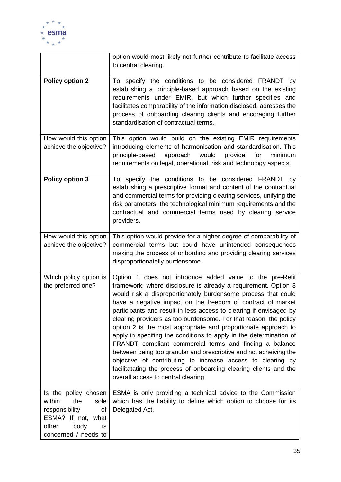

|                                                                                                                                            | option would most likely not further contribute to facilitate access<br>to central clearing.                                                                                                                                                                                                                                                                                                                                                                                                                                                                                                                                                                                                                                                                                                                                                             |
|--------------------------------------------------------------------------------------------------------------------------------------------|----------------------------------------------------------------------------------------------------------------------------------------------------------------------------------------------------------------------------------------------------------------------------------------------------------------------------------------------------------------------------------------------------------------------------------------------------------------------------------------------------------------------------------------------------------------------------------------------------------------------------------------------------------------------------------------------------------------------------------------------------------------------------------------------------------------------------------------------------------|
| <b>Policy option 2</b>                                                                                                                     | To specify the conditions to be considered FRANDT by<br>establishing a principle-based approach based on the existing<br>requirements under EMIR, but which further specifies and<br>facilitates comparability of the information disclosed, adresses the<br>process of onboarding clearing clients and encoraging further<br>standardisation of contractual terms.                                                                                                                                                                                                                                                                                                                                                                                                                                                                                      |
| How would this option<br>achieve the objective?                                                                                            | This option would build on the existing EMIR requirements<br>introducing elements of harmonisation and standardisation. This<br>approach<br>would<br>provide<br>for<br>principle-based<br>minimum<br>requirements on legal, operational, risk and technology aspects.                                                                                                                                                                                                                                                                                                                                                                                                                                                                                                                                                                                    |
| <b>Policy option 3</b>                                                                                                                     | To specify the conditions to be considered FRANDT by<br>establishing a prescriptive format and content of the contractual<br>and commercial terms for providing clearing services, unifying the<br>risk parameters, the technological minimum requirements and the<br>contractual and commercial terms used by clearing service<br>providers.                                                                                                                                                                                                                                                                                                                                                                                                                                                                                                            |
| How would this option<br>achieve the objective?                                                                                            | This option would provide for a higher degree of comparability of<br>commercial terms but could have unintended consequences<br>making the process of onbording and providing clearing services<br>disproportionatelly burdensome.                                                                                                                                                                                                                                                                                                                                                                                                                                                                                                                                                                                                                       |
| Which policy option is<br>the preferred one?                                                                                               | Option 1 does not introduce added value to the pre-Refit<br>framework, where disclosure is already a requirement. Option 3<br>would risk a disproportionately burdensome process that could<br>have a negative impact on the freedom of contract of market<br>participants and result in less access to clearing if envisaged by<br>clearing providers as too burdensome. For that reason, the policy<br>option 2 is the most appropriate and proportionate approach to<br>apply in specifing the conditions to apply in the determination of<br>FRANDT compliant commercial terms and finding a balance<br>between being too granular and prescriptive and not acheiving the<br>objective of contributing to increase access to clearing by<br>facilitatating the process of onboarding clearing clients and the<br>overall access to central clearing. |
| Is the policy chosen<br>within<br>the<br>sole<br>responsibility<br>of<br>ESMA? If not, what<br>other<br>body<br>is<br>concerned / needs to | ESMA is only providing a technical advice to the Commission<br>which has the liability to define which option to choose for its<br>Delegated Act.                                                                                                                                                                                                                                                                                                                                                                                                                                                                                                                                                                                                                                                                                                        |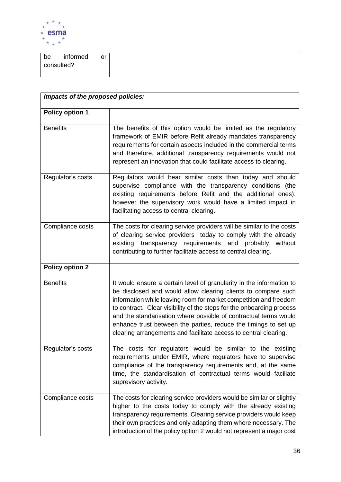

| be         | informed | <b>or</b> |
|------------|----------|-----------|
| consulted? |          |           |
|            |          |           |

| Impacts of the proposed policies: |                                                                                                                                                                                                                                                                                                                                                                                                                                                                                                |  |  |
|-----------------------------------|------------------------------------------------------------------------------------------------------------------------------------------------------------------------------------------------------------------------------------------------------------------------------------------------------------------------------------------------------------------------------------------------------------------------------------------------------------------------------------------------|--|--|
| <b>Policy option 1</b>            |                                                                                                                                                                                                                                                                                                                                                                                                                                                                                                |  |  |
| <b>Benefits</b>                   | The benefits of this option would be limited as the regulatory<br>framework of EMIR before Refit already mandates transparency<br>requirements for certain aspects included in the commercial terms<br>and therefore, additional transparency requirements would not<br>represent an innovation that could facilitate access to clearing.                                                                                                                                                      |  |  |
| Regulator's costs                 | Regulators would bear similar costs than today and should<br>supervise compliance with the transparency conditions (the<br>existing requirements before Refit and the additional ones),<br>however the supervisory work would have a limited impact in<br>facilitating access to central clearing.                                                                                                                                                                                             |  |  |
| Compliance costs                  | The costs for clearing service providers will be similar to the costs<br>of clearing service providers today to comply with the already<br>existing transparency requirements and probably<br>without<br>contributing to further facilitate access to central clearing.                                                                                                                                                                                                                        |  |  |
| <b>Policy option 2</b>            |                                                                                                                                                                                                                                                                                                                                                                                                                                                                                                |  |  |
| <b>Benefits</b>                   | It would ensure a certain level of granularity in the information to<br>be disclosed and would allow clearing clients to compare such<br>information while leaving room for market competition and freedom<br>to contract. Clear visibility of the steps for the onboarding process<br>and the standarisation where possible of contractual terms would<br>enhance trust between the parties, reduce the timings to set up<br>clearing arrangements and facilitate access to central clearing. |  |  |
| Regulator's costs                 | The costs for regulators would be similar to the existing<br>requirements under EMIR, where regulators have to supervise<br>compliance of the transparency requirements and, at the same<br>time, the standardisation of contractual terms would faciliate<br>suprevisory activity.                                                                                                                                                                                                            |  |  |
| Compliance costs                  | The costs for clearing service providers would be similar or slightly<br>higher to the costs today to comply with the already existing<br>transparency requirements. Clearing service providers would keep<br>their own practices and only adapting them where necessary. The<br>introduction of the policy option 2 would not represent a major cost                                                                                                                                          |  |  |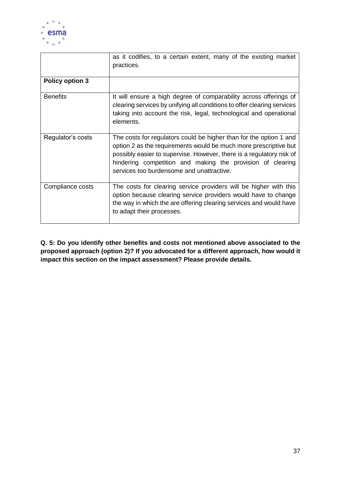

|                        | as it codifies, to a certain extent, many of the existing market<br>practices.                                                                                                                                                                                                                                            |
|------------------------|---------------------------------------------------------------------------------------------------------------------------------------------------------------------------------------------------------------------------------------------------------------------------------------------------------------------------|
| <b>Policy option 3</b> |                                                                                                                                                                                                                                                                                                                           |
| <b>Benefits</b>        | It will ensure a high degree of comparability across offerings of<br>clearing services by unifying all conditions to offer clearing services<br>taking into account the risk, legal, technological and operational<br>elements.                                                                                           |
| Regulator's costs      | The costs for regulators could be higher than for the option 1 and<br>option 2 as the requirements would be much more prescriptive but<br>possibly easier to supervise. However, there is a regulatory risk of<br>hindering competition and making the provision of clearing<br>services too burdensome and unattractive. |
| Compliance costs       | The costs for clearing service providers will be higher with this<br>option because clearing service providers would have to change<br>the way in which the are offering clearing services and would have<br>to adapt their processes.                                                                                    |

**Q. 5: Do you identify other benefits and costs not mentioned above associated to the proposed approach (option 2)? If you advocated for a different approach, how would it impact this section on the impact assessment? Please provide details.**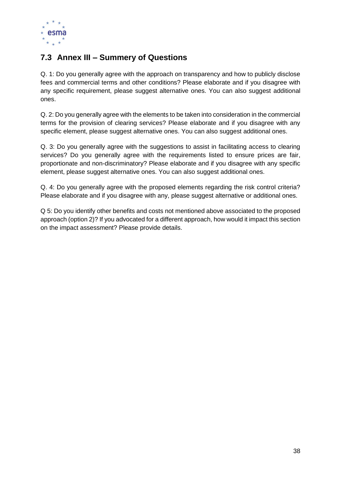

### <span id="page-37-0"></span>**7.3 Annex III – Summery of Questions**

Q. 1: Do you generally agree with the approach on transparency and how to publicly disclose fees and commercial terms and other conditions? Please elaborate and if you disagree with any specific requirement, please suggest alternative ones. You can also suggest additional ones.

Q. 2: Do you generally agree with the elements to be taken into consideration in the commercial terms for the provision of clearing services? Please elaborate and if you disagree with any specific element, please suggest alternative ones. You can also suggest additional ones.

Q. 3: Do you generally agree with the suggestions to assist in facilitating access to clearing services? Do you generally agree with the requirements listed to ensure prices are fair, proportionate and non-discriminatory? Please elaborate and if you disagree with any specific element, please suggest alternative ones. You can also suggest additional ones.

Q. 4: Do you generally agree with the proposed elements regarding the risk control criteria? Please elaborate and if you disagree with any, please suggest alternative or additional ones.

Q 5: Do you identify other benefits and costs not mentioned above associated to the proposed approach (option 2)? If you advocated for a different approach, how would it impact this section on the impact assessment? Please provide details.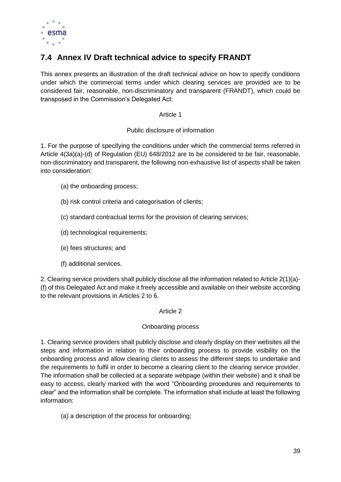

### <span id="page-38-0"></span>**7.4 Annex IV Draft technical advice to specify FRANDT**

This annex presents an illustration of the draft technical advice on how to specify conditions under which the commercial terms under which clearing services are provided are to be considered fair, reasonable, non-discriminatory and transparent (FRANDT), which could be transposed in the Commission's Delegated Act:

Article 1

Public disclosure of information

1. For the purpose of specifying the conditions under which the commercial terms referred in Article 4(3a)(a)-(d) of Regulation (EU) 648/2012 are to be considered to be fair, reasonable, non-discriminatory and transparent, the following non-exhaustive list of aspects shall be taken into consideration:

- (a) the onboarding process;
- (b) risk control criteria and categorisation of clients;
- (c) standard contractual terms for the provision of clearing services;
- (d) technological requirements;
- (e) fees structures; and
- (f) additional services.

2. Clearing service providers shall publicly disclose all the information related to Article 2(1)(a)- (f) of this Delegated Act and make it freely accessible and available on their website according to the relevant provisions in Articles 2 to 6.

### Article 2

### Onboarding process

1. Clearing service providers shall publicly disclose and clearly display on their websites all the steps and information in relation to their onboarding process to provide visibility on the onboarding process and allow clearing clients to assess the different steps to undertake and the requirements to fulfil in order to become a clearing client to the clearing service provider. The information shall be collected at a separate webpage (within their website) and it shall be easy to access, clearly marked with the word "Onboarding procedures and requirements to clear" and the information shall be complete. The information shall include at least the following information:

(a) a description of the process for onboarding;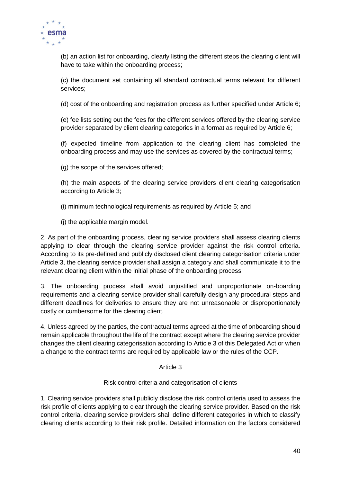

(b) an action list for onboarding, clearly listing the different steps the clearing client will have to take within the onboarding process;

(c) the document set containing all standard contractual terms relevant for different services;

(d) cost of the onboarding and registration process as further specified under Article 6;

(e) fee lists setting out the fees for the different services offered by the clearing service provider separated by client clearing categories in a format as required by Article 6;

(f) expected timeline from application to the clearing client has completed the onboarding process and may use the services as covered by the contractual terms;

(g) the scope of the services offered;

(h) the main aspects of the clearing service providers client clearing categorisation according to Article 3;

(i) minimum technological requirements as required by Article 5; and

(j) the applicable margin model.

2. As part of the onboarding process, clearing service providers shall assess clearing clients applying to clear through the clearing service provider against the risk control criteria. According to its pre-defined and publicly disclosed client clearing categorisation criteria under Article 3, the clearing service provider shall assign a category and shall communicate it to the relevant clearing client within the initial phase of the onboarding process.

3. The onboarding process shall avoid unjustified and unproportionate on-boarding requirements and a clearing service provider shall carefully design any procedural steps and different deadlines for deliveries to ensure they are not unreasonable or disproportionately costly or cumbersome for the clearing client.

4. Unless agreed by the parties, the contractual terms agreed at the time of onboarding should remain applicable throughout the life of the contract except where the clearing service provider changes the client clearing categorisation according to Article 3 of this Delegated Act or when a change to the contract terms are required by applicable law or the rules of the CCP.

Article 3

Risk control criteria and categorisation of clients

1. Clearing service providers shall publicly disclose the risk control criteria used to assess the risk profile of clients applying to clear through the clearing service provider. Based on the risk control criteria, clearing service providers shall define different categories in which to classify clearing clients according to their risk profile. Detailed information on the factors considered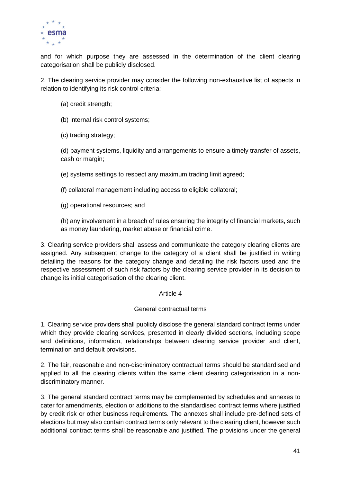

and for which purpose they are assessed in the determination of the client clearing categorisation shall be publicly disclosed.

2. The clearing service provider may consider the following non-exhaustive list of aspects in relation to identifying its risk control criteria:

- (a) credit strength;
- (b) internal risk control systems;
- (c) trading strategy;

(d) payment systems, liquidity and arrangements to ensure a timely transfer of assets, cash or margin;

(e) systems settings to respect any maximum trading limit agreed;

(f) collateral management including access to eligible collateral;

(g) operational resources; and

(h) any involvement in a breach of rules ensuring the integrity of financial markets, such as money laundering, market abuse or financial crime.

3. Clearing service providers shall assess and communicate the category clearing clients are assigned. Any subsequent change to the category of a client shall be justified in writing detailing the reasons for the category change and detailing the risk factors used and the respective assessment of such risk factors by the clearing service provider in its decision to change its initial categorisation of the clearing client.

#### Article 4

#### General contractual terms

1. Clearing service providers shall publicly disclose the general standard contract terms under which they provide clearing services, presented in clearly divided sections, including scope and definitions, information, relationships between clearing service provider and client, termination and default provisions.

2. The fair, reasonable and non-discriminatory contractual terms should be standardised and applied to all the clearing clients within the same client clearing categorisation in a nondiscriminatory manner.

3. The general standard contract terms may be complemented by schedules and annexes to cater for amendments, election or additions to the standardised contract terms where justified by credit risk or other business requirements. The annexes shall include pre-defined sets of elections but may also contain contract terms only relevant to the clearing client, however such additional contract terms shall be reasonable and justified. The provisions under the general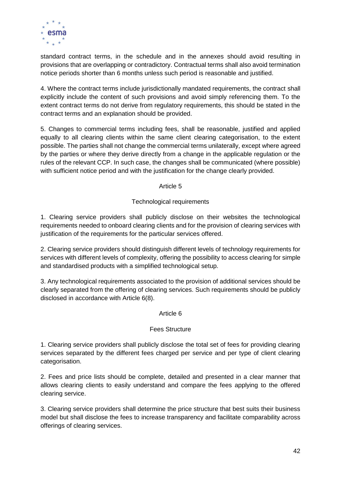

standard contract terms, in the schedule and in the annexes should avoid resulting in provisions that are overlapping or contradictory. Contractual terms shall also avoid termination notice periods shorter than 6 months unless such period is reasonable and justified.

4. Where the contract terms include jurisdictionally mandated requirements, the contract shall explicitly include the content of such provisions and avoid simply referencing them. To the extent contract terms do not derive from regulatory requirements, this should be stated in the contract terms and an explanation should be provided.

5. Changes to commercial terms including fees, shall be reasonable, justified and applied equally to all clearing clients within the same client clearing categorisation, to the extent possible. The parties shall not change the commercial terms unilaterally, except where agreed by the parties or where they derive directly from a change in the applicable regulation or the rules of the relevant CCP. In such case, the changes shall be communicated (where possible) with sufficient notice period and with the justification for the change clearly provided.

Article 5

### Technological requirements

1. Clearing service providers shall publicly disclose on their websites the technological requirements needed to onboard clearing clients and for the provision of clearing services with justification of the requirements for the particular services offered.

2. Clearing service providers should distinguish different levels of technology requirements for services with different levels of complexity, offering the possibility to access clearing for simple and standardised products with a simplified technological setup.

3. Any technological requirements associated to the provision of additional services should be clearly separated from the offering of clearing services. Such requirements should be publicly disclosed in accordance with Article 6(8).

#### Article 6

### Fees Structure

1. Clearing service providers shall publicly disclose the total set of fees for providing clearing services separated by the different fees charged per service and per type of client clearing categorisation.

2. Fees and price lists should be complete, detailed and presented in a clear manner that allows clearing clients to easily understand and compare the fees applying to the offered clearing service.

3. Clearing service providers shall determine the price structure that best suits their business model but shall disclose the fees to increase transparency and facilitate comparability across offerings of clearing services.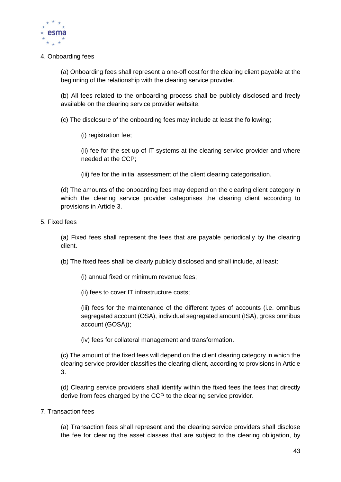

4. Onboarding fees

(a) Onboarding fees shall represent a one-off cost for the clearing client payable at the beginning of the relationship with the clearing service provider.

(b) All fees related to the onboarding process shall be publicly disclosed and freely available on the clearing service provider website.

(c) The disclosure of the onboarding fees may include at least the following;

(i) registration fee;

(ii) fee for the set-up of IT systems at the clearing service provider and where needed at the CCP;

(iii) fee for the initial assessment of the client clearing categorisation.

(d) The amounts of the onboarding fees may depend on the clearing client category in which the clearing service provider categorises the clearing client according to provisions in Article 3.

5. Fixed fees

(a) Fixed fees shall represent the fees that are payable periodically by the clearing client.

(b) The fixed fees shall be clearly publicly disclosed and shall include, at least:

- (i) annual fixed or minimum revenue fees;
- (ii) fees to cover IT infrastructure costs;

(iii) fees for the maintenance of the different types of accounts (i.e. omnibus segregated account (OSA), individual segregated amount (ISA), gross omnibus account (GOSA));

(iv) fees for collateral management and transformation.

(c) The amount of the fixed fees will depend on the client clearing category in which the clearing service provider classifies the clearing client, according to provisions in Article 3.

(d) Clearing service providers shall identify within the fixed fees the fees that directly derive from fees charged by the CCP to the clearing service provider.

7. Transaction fees

(a) Transaction fees shall represent and the clearing service providers shall disclose the fee for clearing the asset classes that are subject to the clearing obligation, by